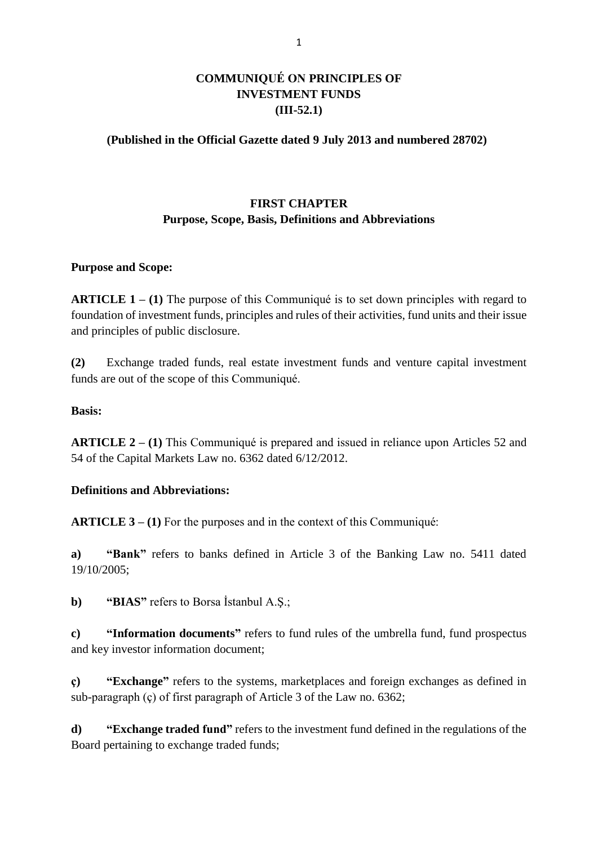## **COMMUNIQUÉ ON PRINCIPLES OF INVESTMENT FUNDS (III-52.1)**

### **(Published in the Official Gazette dated 9 July 2013 and numbered 28702)**

## **FIRST CHAPTER Purpose, Scope, Basis, Definitions and Abbreviations**

#### **Purpose and Scope:**

**ARTICLE 1 – (1)** The purpose of this Communiqué is to set down principles with regard to foundation of investment funds, principles and rules of their activities, fund units and their issue and principles of public disclosure.

**(2)** Exchange traded funds, real estate investment funds and venture capital investment funds are out of the scope of this Communiqué.

#### **Basis:**

**ARTICLE 2 – (1)** This Communiqué is prepared and issued in reliance upon Articles 52 and 54 of the Capital Markets Law no. 6362 dated 6/12/2012.

#### **Definitions and Abbreviations:**

**ARTICLE 3 – (1)** For the purposes and in the context of this Communiqué:

**a) "Bank"** refers to banks defined in Article 3 of the Banking Law no. 5411 dated 19/10/2005;

**b) "BIAS"** refers to Borsa İstanbul A.Ş.;

**c) "Information documents"** refers to fund rules of the umbrella fund, fund prospectus and key investor information document;

**ç) "Exchange"** refers to the systems, marketplaces and foreign exchanges as defined in sub-paragraph (ç) of first paragraph of Article 3 of the Law no. 6362;

**d) "Exchange traded fund"** refers to the investment fund defined in the regulations of the Board pertaining to exchange traded funds;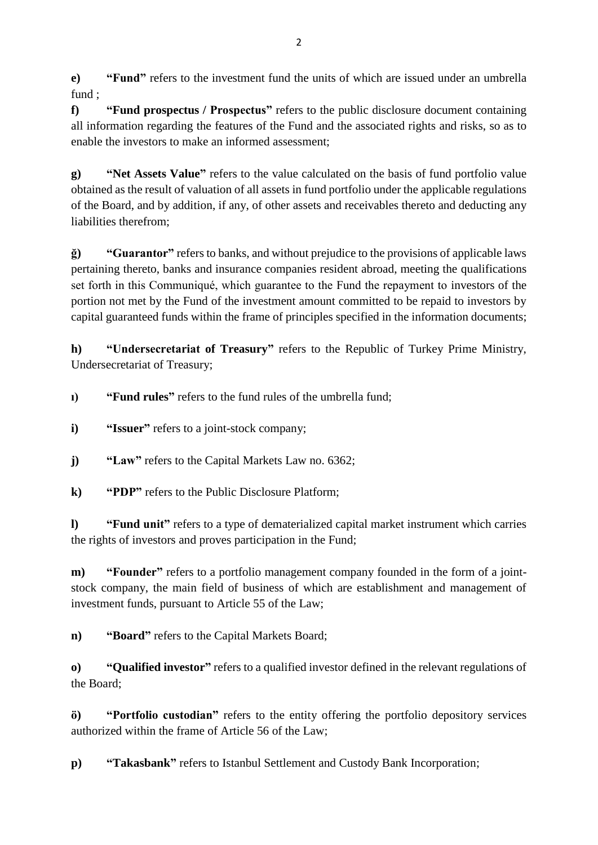**e) "Fund"** refers to the investment fund the units of which are issued under an umbrella fund ;

**f) "Fund prospectus / Prospectus"** refers to the public disclosure document containing all information regarding the features of the Fund and the associated rights and risks, so as to enable the investors to make an informed assessment;

**g) "Net Assets Value"** refers to the value calculated on the basis of fund portfolio value obtained as the result of valuation of all assets in fund portfolio under the applicable regulations of the Board, and by addition, if any, of other assets and receivables thereto and deducting any liabilities therefrom;

**ğ) "Guarantor"** refers to banks, and without prejudice to the provisions of applicable laws pertaining thereto, banks and insurance companies resident abroad, meeting the qualifications set forth in this Communiqué, which guarantee to the Fund the repayment to investors of the portion not met by the Fund of the investment amount committed to be repaid to investors by capital guaranteed funds within the frame of principles specified in the information documents;

**h) "Undersecretariat of Treasury"** refers to the Republic of Turkey Prime Ministry, Undersecretariat of Treasury;

**ı) "Fund rules"** refers to the fund rules of the umbrella fund;

- **i) "Issuer"** refers to a joint-stock company;
- **j) "Law"** refers to the Capital Markets Law no. 6362;

**k) "PDP"** refers to the Public Disclosure Platform;

**l) "Fund unit"** refers to a type of dematerialized capital market instrument which carries the rights of investors and proves participation in the Fund;

**m**) **"Founder"** refers to a portfolio management company founded in the form of a jointstock company, the main field of business of which are establishment and management of investment funds, pursuant to Article 55 of the Law;

**n) "Board"** refers to the Capital Markets Board;

**o) "Qualified investor"** refers to a qualified investor defined in the relevant regulations of the Board;

**ö) "Portfolio custodian"** refers to the entity offering the portfolio depository services authorized within the frame of Article 56 of the Law;

**p) "Takasbank"** refers to Istanbul Settlement and Custody Bank Incorporation;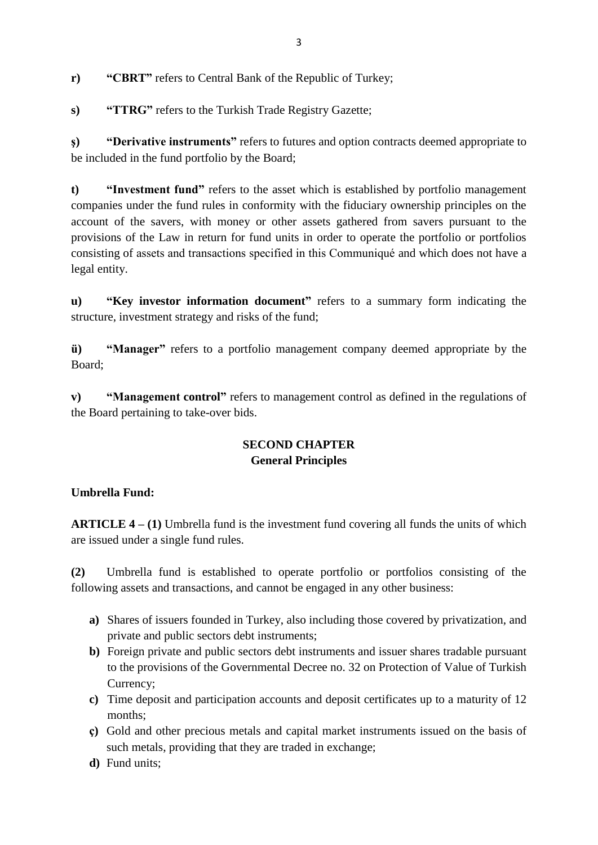**r) "CBRT"** refers to Central Bank of the Republic of Turkey;

**s) "TTRG"** refers to the Turkish Trade Registry Gazette;

**ş) "Derivative instruments"** refers to futures and option contracts deemed appropriate to be included in the fund portfolio by the Board;

**t) "Investment fund"** refers to the asset which is established by portfolio management companies under the fund rules in conformity with the fiduciary ownership principles on the account of the savers, with money or other assets gathered from savers pursuant to the provisions of the Law in return for fund units in order to operate the portfolio or portfolios consisting of assets and transactions specified in this Communiqué and which does not have a legal entity.

**u) "Key investor information document"** refers to a summary form indicating the structure, investment strategy and risks of the fund;

**ü) "Manager"** refers to a portfolio management company deemed appropriate by the Board;

**v) "Management control"** refers to management control as defined in the regulations of the Board pertaining to take-over bids.

## **SECOND CHAPTER General Principles**

### **Umbrella Fund:**

**ARTICLE 4 – (1)** Umbrella fund is the investment fund covering all funds the units of which are issued under a single fund rules.

**(2)** Umbrella fund is established to operate portfolio or portfolios consisting of the following assets and transactions, and cannot be engaged in any other business:

- **a)** Shares of issuers founded in Turkey, also including those covered by privatization, and private and public sectors debt instruments;
- **b)** Foreign private and public sectors debt instruments and issuer shares tradable pursuant to the provisions of the Governmental Decree no. 32 on Protection of Value of Turkish Currency;
- **c)** Time deposit and participation accounts and deposit certificates up to a maturity of 12 months;
- **ç)** Gold and other precious metals and capital market instruments issued on the basis of such metals, providing that they are traded in exchange;
- **d)** Fund units;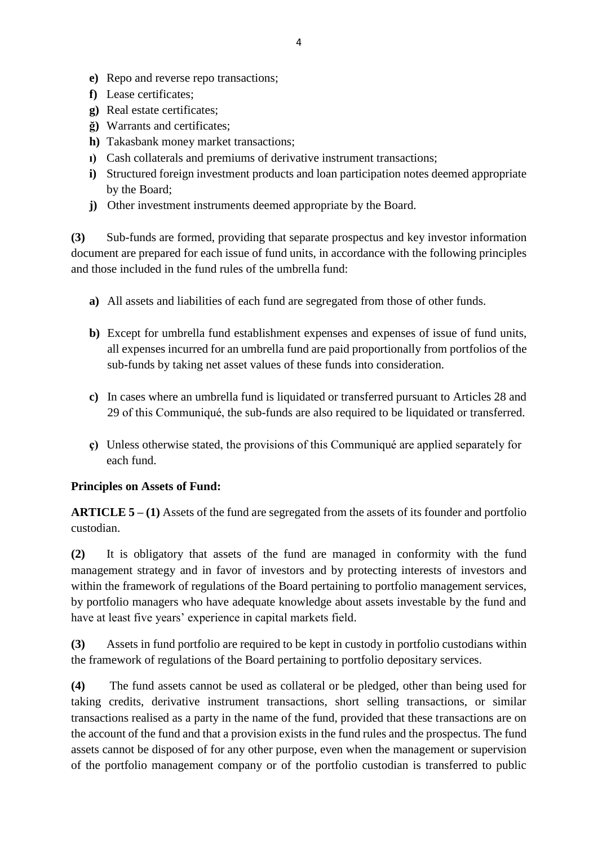- **e)** Repo and reverse repo transactions;
- **f)** Lease certificates;
- **g)** Real estate certificates;
- **ğ)** Warrants and certificates;
- **h)** Takasbank money market transactions;
- **ı)** Cash collaterals and premiums of derivative instrument transactions;
- **i)** Structured foreign investment products and loan participation notes deemed appropriate by the Board;
- **j)** Other investment instruments deemed appropriate by the Board.

**(3)** Sub-funds are formed, providing that separate prospectus and key investor information document are prepared for each issue of fund units, in accordance with the following principles and those included in the fund rules of the umbrella fund:

- **a)** All assets and liabilities of each fund are segregated from those of other funds.
- **b)** Except for umbrella fund establishment expenses and expenses of issue of fund units, all expenses incurred for an umbrella fund are paid proportionally from portfolios of the sub-funds by taking net asset values of these funds into consideration.
- **c)** In cases where an umbrella fund is liquidated or transferred pursuant to Articles 28 and 29 of this Communiqué, the sub-funds are also required to be liquidated or transferred.
- **ç)** Unless otherwise stated, the provisions of this Communiqué are applied separately for each fund.

# **Principles on Assets of Fund:**

**ARTICLE 5 – (1)** Assets of the fund are segregated from the assets of its founder and portfolio custodian.

**(2)** It is obligatory that assets of the fund are managed in conformity with the fund management strategy and in favor of investors and by protecting interests of investors and within the framework of regulations of the Board pertaining to portfolio management services, by portfolio managers who have adequate knowledge about assets investable by the fund and have at least five years' experience in capital markets field.

**(3)** Assets in fund portfolio are required to be kept in custody in portfolio custodians within the framework of regulations of the Board pertaining to portfolio depositary services.

**(4)** The fund assets cannot be used as collateral or be pledged, other than being used for taking credits, derivative instrument transactions, short selling transactions, or similar transactions realised as a party in the name of the fund, provided that these transactions are on the account of the fund and that a provision exists in the fund rules and the prospectus. The fund assets cannot be disposed of for any other purpose, even when the management or supervision of the portfolio management company or of the portfolio custodian is transferred to public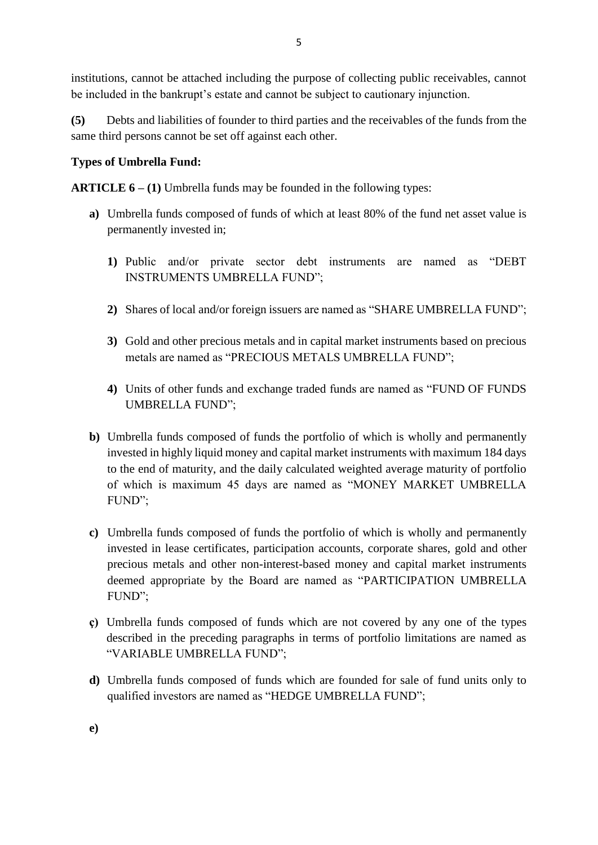institutions, cannot be attached including the purpose of collecting public receivables, cannot be included in the bankrupt's estate and cannot be subject to cautionary injunction.

**(5)** Debts and liabilities of founder to third parties and the receivables of the funds from the same third persons cannot be set off against each other.

## **Types of Umbrella Fund:**

**ARTICLE 6 – (1)** Umbrella funds may be founded in the following types:

- **a)** Umbrella funds composed of funds of which at least 80% of the fund net asset value is permanently invested in;
	- **1)** Public and/or private sector debt instruments are named as "DEBT INSTRUMENTS UMBRELLA FUND";
	- **2)** Shares of local and/or foreign issuers are named as "SHARE UMBRELLA FUND";
	- **3)** Gold and other precious metals and in capital market instruments based on precious metals are named as "PRECIOUS METALS UMBRELLA FUND";
	- **4)** Units of other funds and exchange traded funds are named as "FUND OF FUNDS UMBRELLA FUND";
- **b)** Umbrella funds composed of funds the portfolio of which is wholly and permanently invested in highly liquid money and capital market instruments with maximum 184 days to the end of maturity, and the daily calculated weighted average maturity of portfolio of which is maximum 45 days are named as "MONEY MARKET UMBRELLA FUND";
- **c)** Umbrella funds composed of funds the portfolio of which is wholly and permanently invested in lease certificates, participation accounts, corporate shares, gold and other precious metals and other non-interest-based money and capital market instruments deemed appropriate by the Board are named as "PARTICIPATION UMBRELLA FUND";
- **ç)** Umbrella funds composed of funds which are not covered by any one of the types described in the preceding paragraphs in terms of portfolio limitations are named as "VARIABLE UMBRELLA FUND";
- **d)** Umbrella funds composed of funds which are founded for sale of fund units only to qualified investors are named as "HEDGE UMBRELLA FUND";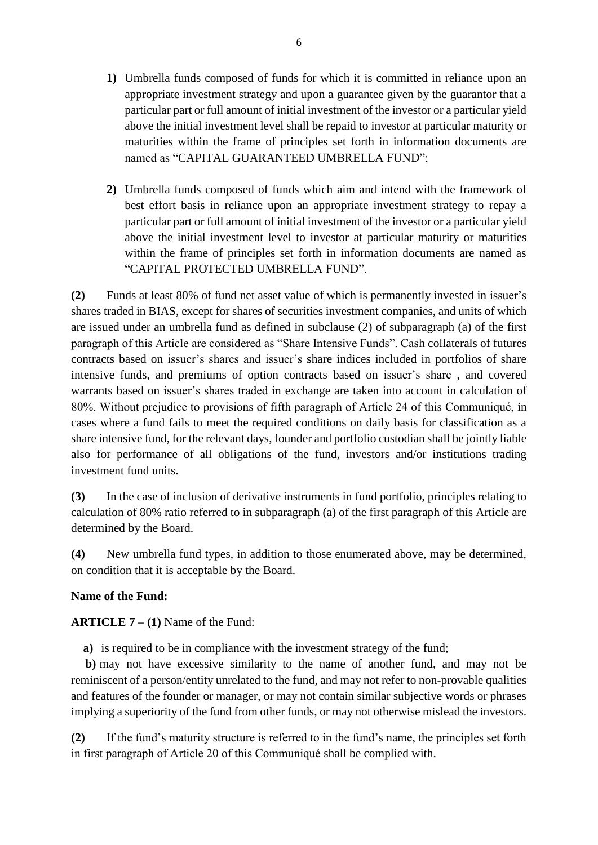- **1)** Umbrella funds composed of funds for which it is committed in reliance upon an appropriate investment strategy and upon a guarantee given by the guarantor that a particular part or full amount of initial investment of the investor or a particular yield above the initial investment level shall be repaid to investor at particular maturity or maturities within the frame of principles set forth in information documents are named as "CAPITAL GUARANTEED UMBRELLA FUND";
- **2)** Umbrella funds composed of funds which aim and intend with the framework of best effort basis in reliance upon an appropriate investment strategy to repay a particular part or full amount of initial investment of the investor or a particular yield above the initial investment level to investor at particular maturity or maturities within the frame of principles set forth in information documents are named as "CAPITAL PROTECTED UMBRELLA FUND".

**(2)** Funds at least 80% of fund net asset value of which is permanently invested in issuer's shares traded in BIAS, except for shares of securities investment companies, and units of which are issued under an umbrella fund as defined in subclause (2) of subparagraph (a) of the first paragraph of this Article are considered as "Share Intensive Funds". Cash collaterals of futures contracts based on issuer's shares and issuer's share indices included in portfolios of share intensive funds, and premiums of option contracts based on issuer's share , and covered warrants based on issuer's shares traded in exchange are taken into account in calculation of 80%. Without prejudice to provisions of fifth paragraph of Article 24 of this Communiqué, in cases where a fund fails to meet the required conditions on daily basis for classification as a share intensive fund, for the relevant days, founder and portfolio custodian shall be jointly liable also for performance of all obligations of the fund, investors and/or institutions trading investment fund units.

**(3)** In the case of inclusion of derivative instruments in fund portfolio, principles relating to calculation of 80% ratio referred to in subparagraph (a) of the first paragraph of this Article are determined by the Board.

**(4)** New umbrella fund types, in addition to those enumerated above, may be determined, on condition that it is acceptable by the Board.

### **Name of the Fund:**

## **ARTICLE 7 – (1)** Name of the Fund:

**a)** is required to be in compliance with the investment strategy of the fund;

**b)** may not have excessive similarity to the name of another fund, and may not be reminiscent of a person/entity unrelated to the fund, and may not refer to non-provable qualities and features of the founder or manager, or may not contain similar subjective words or phrases implying a superiority of the fund from other funds, or may not otherwise mislead the investors.

**(2)** If the fund's maturity structure is referred to in the fund's name, the principles set forth in first paragraph of Article 20 of this Communiqué shall be complied with.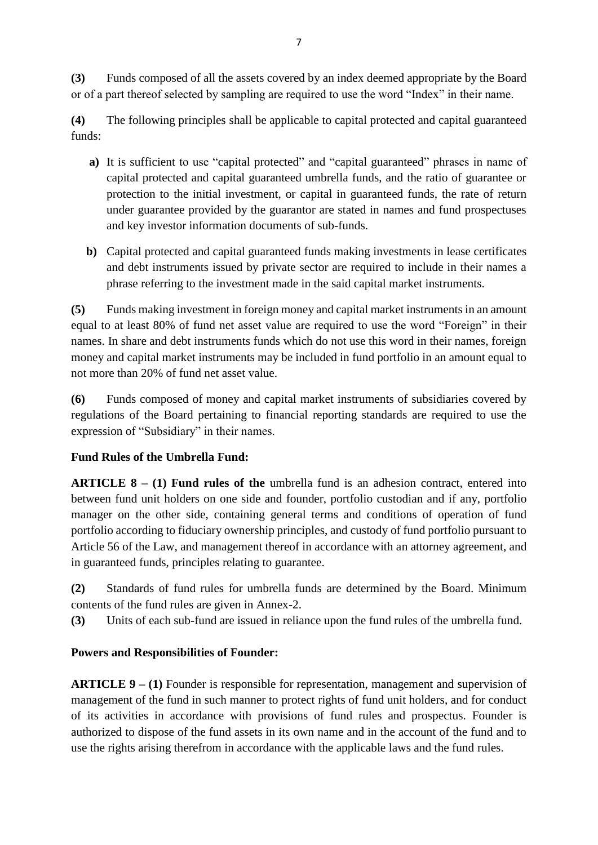**(3)** Funds composed of all the assets covered by an index deemed appropriate by the Board or of a part thereof selected by sampling are required to use the word "Index" in their name.

**(4)** The following principles shall be applicable to capital protected and capital guaranteed funds:

- **a)** It is sufficient to use "capital protected" and "capital guaranteed" phrases in name of capital protected and capital guaranteed umbrella funds, and the ratio of guarantee or protection to the initial investment, or capital in guaranteed funds, the rate of return under guarantee provided by the guarantor are stated in names and fund prospectuses and key investor information documents of sub-funds.
- **b)** Capital protected and capital guaranteed funds making investments in lease certificates and debt instruments issued by private sector are required to include in their names a phrase referring to the investment made in the said capital market instruments.

**(5)** Funds making investment in foreign money and capital market instruments in an amount equal to at least 80% of fund net asset value are required to use the word "Foreign" in their names. In share and debt instruments funds which do not use this word in their names, foreign money and capital market instruments may be included in fund portfolio in an amount equal to not more than 20% of fund net asset value.

**(6)** Funds composed of money and capital market instruments of subsidiaries covered by regulations of the Board pertaining to financial reporting standards are required to use the expression of "Subsidiary" in their names.

## **Fund Rules of the Umbrella Fund:**

**ARTICLE 8** – **(1) Fund rules of the** umbrella fund is an adhesion contract, entered into between fund unit holders on one side and founder, portfolio custodian and if any, portfolio manager on the other side, containing general terms and conditions of operation of fund portfolio according to fiduciary ownership principles, and custody of fund portfolio pursuant to Article 56 of the Law, and management thereof in accordance with an attorney agreement, and in guaranteed funds, principles relating to guarantee.

**(2)** Standards of fund rules for umbrella funds are determined by the Board. Minimum contents of the fund rules are given in Annex-2.

**(3)** Units of each sub-fund are issued in reliance upon the fund rules of the umbrella fund.

## **Powers and Responsibilities of Founder:**

**ARTICLE 9 – (1)** Founder is responsible for representation, management and supervision of management of the fund in such manner to protect rights of fund unit holders, and for conduct of its activities in accordance with provisions of fund rules and prospectus. Founder is authorized to dispose of the fund assets in its own name and in the account of the fund and to use the rights arising therefrom in accordance with the applicable laws and the fund rules.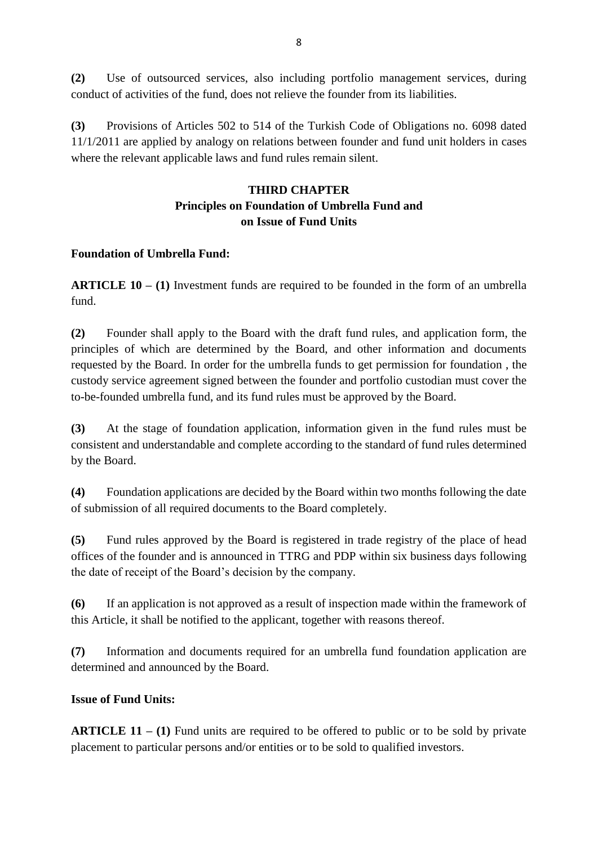**(2)** Use of outsourced services, also including portfolio management services, during conduct of activities of the fund, does not relieve the founder from its liabilities.

**(3)** Provisions of Articles 502 to 514 of the Turkish Code of Obligations no. 6098 dated 11/1/2011 are applied by analogy on relations between founder and fund unit holders in cases where the relevant applicable laws and fund rules remain silent.

## **THIRD CHAPTER Principles on Foundation of Umbrella Fund and on Issue of Fund Units**

### **Foundation of Umbrella Fund:**

**ARTICLE 10 – (1)** Investment funds are required to be founded in the form of an umbrella fund.

**(2)** Founder shall apply to the Board with the draft fund rules, and application form, the principles of which are determined by the Board, and other information and documents requested by the Board. In order for the umbrella funds to get permission for foundation , the custody service agreement signed between the founder and portfolio custodian must cover the to-be-founded umbrella fund, and its fund rules must be approved by the Board.

**(3)** At the stage of foundation application, information given in the fund rules must be consistent and understandable and complete according to the standard of fund rules determined by the Board.

**(4)** Foundation applications are decided by the Board within two months following the date of submission of all required documents to the Board completely.

**(5)** Fund rules approved by the Board is registered in trade registry of the place of head offices of the founder and is announced in TTRG and PDP within six business days following the date of receipt of the Board's decision by the company.

**(6)** If an application is not approved as a result of inspection made within the framework of this Article, it shall be notified to the applicant, together with reasons thereof.

**(7)** Information and documents required for an umbrella fund foundation application are determined and announced by the Board.

### **Issue of Fund Units:**

**ARTICLE 11 – (1)** Fund units are required to be offered to public or to be sold by private placement to particular persons and/or entities or to be sold to qualified investors.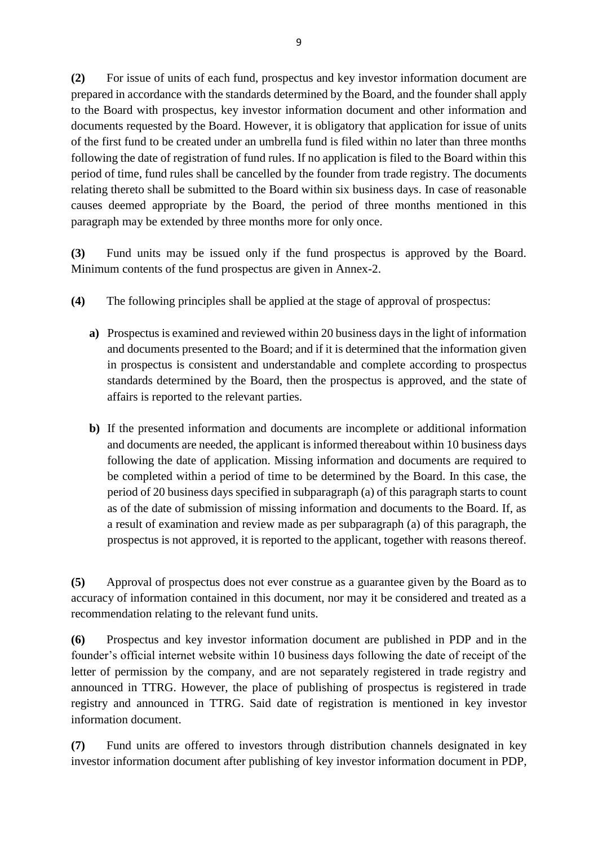**(2)** For issue of units of each fund, prospectus and key investor information document are prepared in accordance with the standards determined by the Board, and the founder shall apply to the Board with prospectus, key investor information document and other information and documents requested by the Board. However, it is obligatory that application for issue of units of the first fund to be created under an umbrella fund is filed within no later than three months following the date of registration of fund rules. If no application is filed to the Board within this period of time, fund rules shall be cancelled by the founder from trade registry. The documents relating thereto shall be submitted to the Board within six business days. In case of reasonable causes deemed appropriate by the Board, the period of three months mentioned in this paragraph may be extended by three months more for only once.

**(3)** Fund units may be issued only if the fund prospectus is approved by the Board. Minimum contents of the fund prospectus are given in Annex-2.

- **(4)** The following principles shall be applied at the stage of approval of prospectus:
	- **a)** Prospectus is examined and reviewed within 20 business days in the light of information and documents presented to the Board; and if it is determined that the information given in prospectus is consistent and understandable and complete according to prospectus standards determined by the Board, then the prospectus is approved, and the state of affairs is reported to the relevant parties.
	- **b)** If the presented information and documents are incomplete or additional information and documents are needed, the applicant is informed thereabout within 10 business days following the date of application. Missing information and documents are required to be completed within a period of time to be determined by the Board. In this case, the period of 20 business days specified in subparagraph (a) of this paragraph starts to count as of the date of submission of missing information and documents to the Board. If, as a result of examination and review made as per subparagraph (a) of this paragraph, the prospectus is not approved, it is reported to the applicant, together with reasons thereof.

**(5)** Approval of prospectus does not ever construe as a guarantee given by the Board as to accuracy of information contained in this document, nor may it be considered and treated as a recommendation relating to the relevant fund units.

**(6)** Prospectus and key investor information document are published in PDP and in the founder's official internet website within 10 business days following the date of receipt of the letter of permission by the company, and are not separately registered in trade registry and announced in TTRG. However, the place of publishing of prospectus is registered in trade registry and announced in TTRG. Said date of registration is mentioned in key investor information document.

**(7)** Fund units are offered to investors through distribution channels designated in key investor information document after publishing of key investor information document in PDP,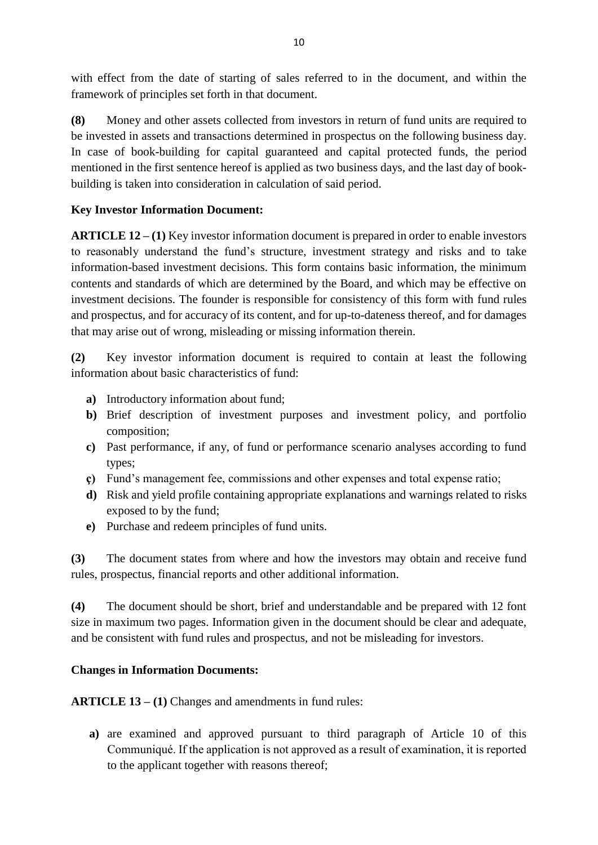with effect from the date of starting of sales referred to in the document, and within the framework of principles set forth in that document.

**(8)** Money and other assets collected from investors in return of fund units are required to be invested in assets and transactions determined in prospectus on the following business day. In case of book-building for capital guaranteed and capital protected funds, the period mentioned in the first sentence hereof is applied as two business days, and the last day of bookbuilding is taken into consideration in calculation of said period.

### **Key Investor Information Document:**

**ARTICLE 12 – (1)** Key investor information document is prepared in order to enable investors to reasonably understand the fund's structure, investment strategy and risks and to take information-based investment decisions. This form contains basic information, the minimum contents and standards of which are determined by the Board, and which may be effective on investment decisions. The founder is responsible for consistency of this form with fund rules and prospectus, and for accuracy of its content, and for up-to-dateness thereof, and for damages that may arise out of wrong, misleading or missing information therein.

**(2)** Key investor information document is required to contain at least the following information about basic characteristics of fund:

- **a)** Introductory information about fund;
- **b)** Brief description of investment purposes and investment policy, and portfolio composition;
- **c)** Past performance, if any, of fund or performance scenario analyses according to fund types;
- **ç)** Fund's management fee, commissions and other expenses and total expense ratio;
- **d)** Risk and yield profile containing appropriate explanations and warnings related to risks exposed to by the fund;
- **e)** Purchase and redeem principles of fund units.

**(3)** The document states from where and how the investors may obtain and receive fund rules, prospectus, financial reports and other additional information.

**(4)** The document should be short, brief and understandable and be prepared with 12 font size in maximum two pages. Information given in the document should be clear and adequate, and be consistent with fund rules and prospectus, and not be misleading for investors.

## **Changes in Information Documents:**

**ARTICLE 13 – (1)** Changes and amendments in fund rules:

**a)** are examined and approved pursuant to third paragraph of Article 10 of this Communiqué. If the application is not approved as a result of examination, it is reported to the applicant together with reasons thereof;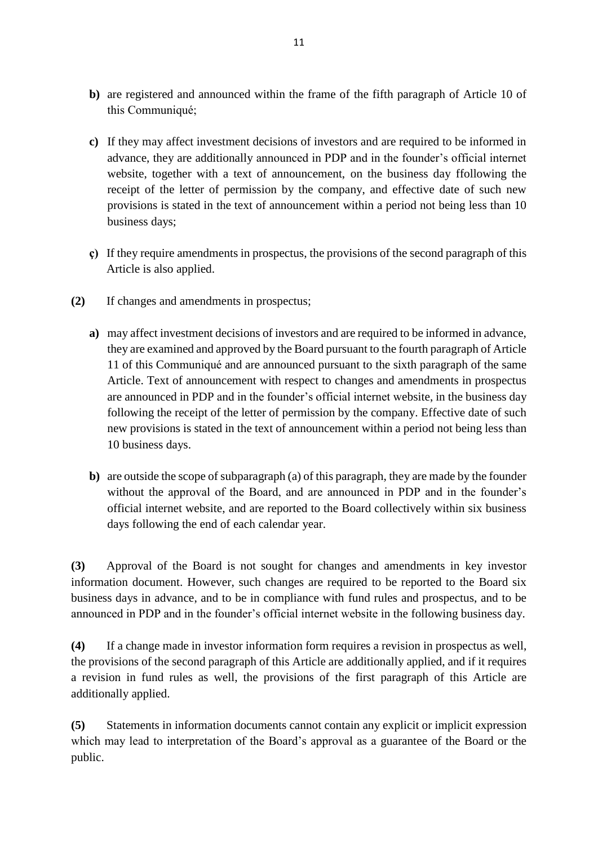- **b)** are registered and announced within the frame of the fifth paragraph of Article 10 of this Communiqué;
- **c)** If they may affect investment decisions of investors and are required to be informed in advance, they are additionally announced in PDP and in the founder's official internet website, together with a text of announcement, on the business day ffollowing the receipt of the letter of permission by the company, and effective date of such new provisions is stated in the text of announcement within a period not being less than 10 business days;
- **ç)** If they require amendments in prospectus, the provisions of the second paragraph of this Article is also applied.
- **(2)** If changes and amendments in prospectus;
	- **a)** may affect investment decisions of investors and are required to be informed in advance, they are examined and approved by the Board pursuant to the fourth paragraph of Article 11 of this Communiqué and are announced pursuant to the sixth paragraph of the same Article. Text of announcement with respect to changes and amendments in prospectus are announced in PDP and in the founder's official internet website, in the business day following the receipt of the letter of permission by the company. Effective date of such new provisions is stated in the text of announcement within a period not being less than 10 business days.
	- **b)** are outside the scope of subparagraph (a) of this paragraph, they are made by the founder without the approval of the Board, and are announced in PDP and in the founder's official internet website, and are reported to the Board collectively within six business days following the end of each calendar year.

**(3)** Approval of the Board is not sought for changes and amendments in key investor information document. However, such changes are required to be reported to the Board six business days in advance, and to be in compliance with fund rules and prospectus, and to be announced in PDP and in the founder's official internet website in the following business day.

**(4)** If a change made in investor information form requires a revision in prospectus as well, the provisions of the second paragraph of this Article are additionally applied, and if it requires a revision in fund rules as well, the provisions of the first paragraph of this Article are additionally applied.

**(5)** Statements in information documents cannot contain any explicit or implicit expression which may lead to interpretation of the Board's approval as a guarantee of the Board or the public.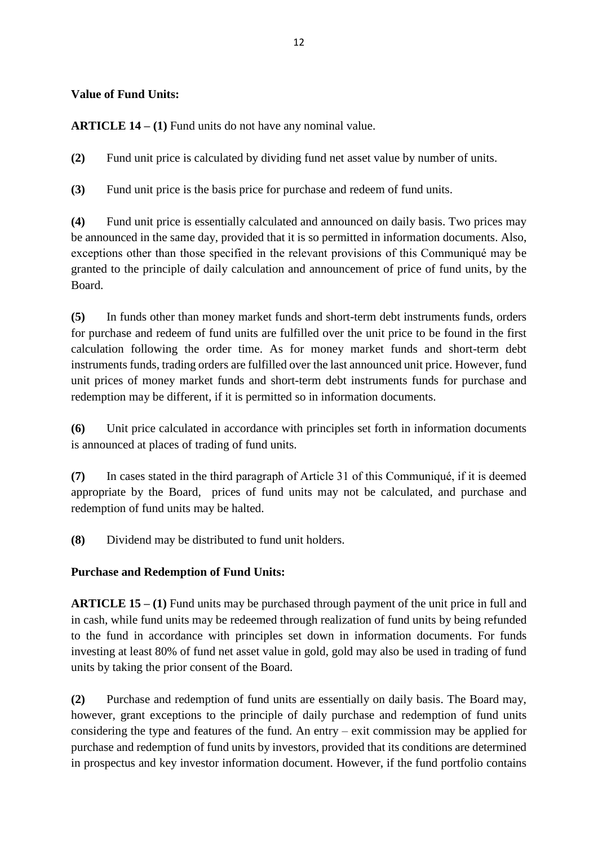### **Value of Fund Units:**

**ARTICLE 14 – (1)** Fund units do not have any nominal value.

**(2)** Fund unit price is calculated by dividing fund net asset value by number of units.

**(3)** Fund unit price is the basis price for purchase and redeem of fund units.

**(4)** Fund unit price is essentially calculated and announced on daily basis. Two prices may be announced in the same day, provided that it is so permitted in information documents. Also, exceptions other than those specified in the relevant provisions of this Communiqué may be granted to the principle of daily calculation and announcement of price of fund units, by the Board.

**(5)** In funds other than money market funds and short-term debt instruments funds, orders for purchase and redeem of fund units are fulfilled over the unit price to be found in the first calculation following the order time. As for money market funds and short-term debt instruments funds, trading orders are fulfilled over the last announced unit price. However, fund unit prices of money market funds and short-term debt instruments funds for purchase and redemption may be different, if it is permitted so in information documents.

**(6)** Unit price calculated in accordance with principles set forth in information documents is announced at places of trading of fund units.

**(7)** In cases stated in the third paragraph of Article 31 of this Communiqué, if it is deemed appropriate by the Board, prices of fund units may not be calculated, and purchase and redemption of fund units may be halted.

**(8)** Dividend may be distributed to fund unit holders.

## **Purchase and Redemption of Fund Units:**

**ARTICLE 15 – (1)** Fund units may be purchased through payment of the unit price in full and in cash, while fund units may be redeemed through realization of fund units by being refunded to the fund in accordance with principles set down in information documents. For funds investing at least 80% of fund net asset value in gold, gold may also be used in trading of fund units by taking the prior consent of the Board.

**(2)** Purchase and redemption of fund units are essentially on daily basis. The Board may, however, grant exceptions to the principle of daily purchase and redemption of fund units considering the type and features of the fund. An entry – exit commission may be applied for purchase and redemption of fund units by investors, provided that its conditions are determined in prospectus and key investor information document. However, if the fund portfolio contains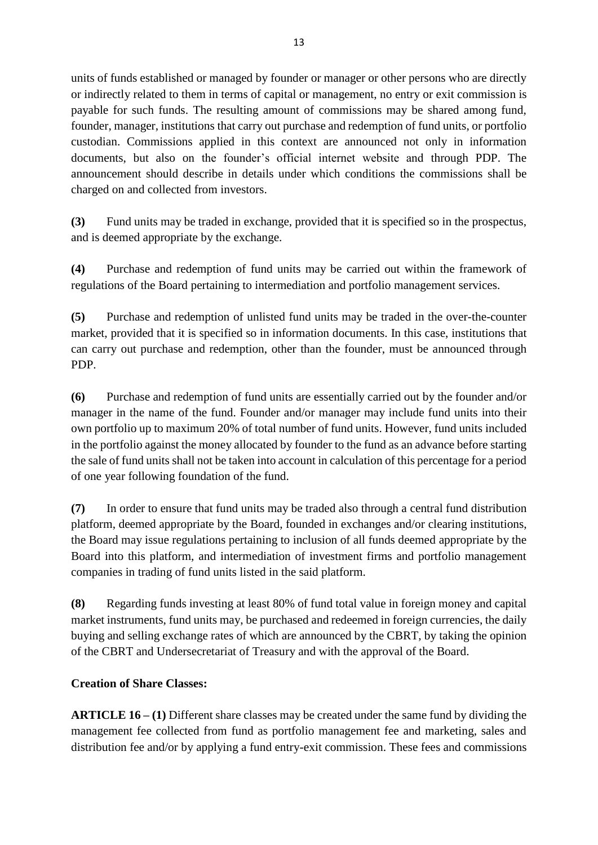units of funds established or managed by founder or manager or other persons who are directly or indirectly related to them in terms of capital or management, no entry or exit commission is payable for such funds. The resulting amount of commissions may be shared among fund, founder, manager, institutions that carry out purchase and redemption of fund units, or portfolio custodian. Commissions applied in this context are announced not only in information documents, but also on the founder's official internet website and through PDP. The announcement should describe in details under which conditions the commissions shall be charged on and collected from investors.

**(3)** Fund units may be traded in exchange, provided that it is specified so in the prospectus, and is deemed appropriate by the exchange.

**(4)** Purchase and redemption of fund units may be carried out within the framework of regulations of the Board pertaining to intermediation and portfolio management services.

**(5)** Purchase and redemption of unlisted fund units may be traded in the over-the-counter market, provided that it is specified so in information documents. In this case, institutions that can carry out purchase and redemption, other than the founder, must be announced through PDP.

**(6)** Purchase and redemption of fund units are essentially carried out by the founder and/or manager in the name of the fund. Founder and/or manager may include fund units into their own portfolio up to maximum 20% of total number of fund units. However, fund units included in the portfolio against the money allocated by founder to the fund as an advance before starting the sale of fund units shall not be taken into account in calculation of this percentage for a period of one year following foundation of the fund.

**(7)** In order to ensure that fund units may be traded also through a central fund distribution platform, deemed appropriate by the Board, founded in exchanges and/or clearing institutions, the Board may issue regulations pertaining to inclusion of all funds deemed appropriate by the Board into this platform, and intermediation of investment firms and portfolio management companies in trading of fund units listed in the said platform.

**(8)** Regarding funds investing at least 80% of fund total value in foreign money and capital market instruments, fund units may, be purchased and redeemed in foreign currencies, the daily buying and selling exchange rates of which are announced by the CBRT, by taking the opinion of the CBRT and Undersecretariat of Treasury and with the approval of the Board.

## **Creation of Share Classes:**

**ARTICLE 16 – (1)** Different share classes may be created under the same fund by dividing the management fee collected from fund as portfolio management fee and marketing, sales and distribution fee and/or by applying a fund entry-exit commission. These fees and commissions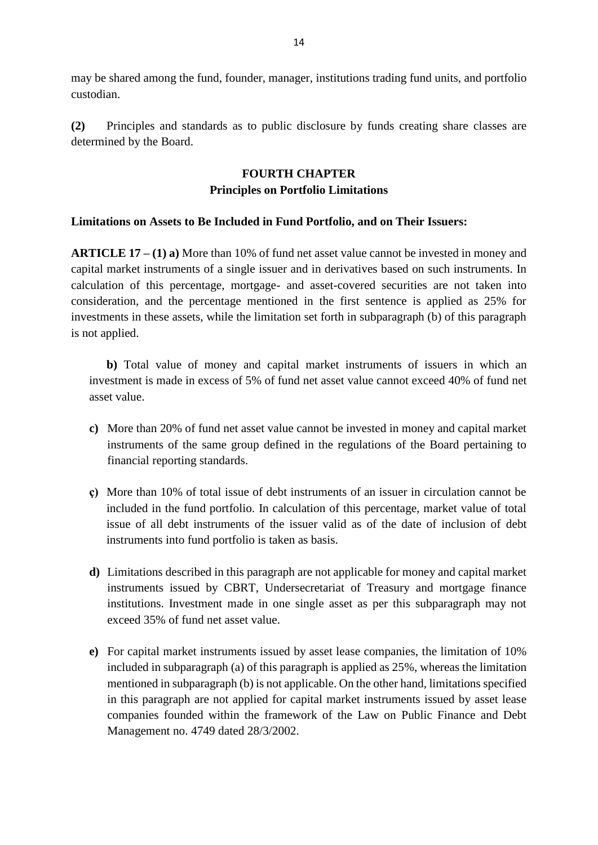may be shared among the fund, founder, manager, institutions trading fund units, and portfolio custodian.

**(2)** Principles and standards as to public disclosure by funds creating share classes are determined by the Board.

## **FOURTH CHAPTER Principles on Portfolio Limitations**

### **Limitations on Assets to Be Included in Fund Portfolio, and on Their Issuers:**

**ARTICLE 17 – (1) a)** More than 10% of fund net asset value cannot be invested in money and capital market instruments of a single issuer and in derivatives based on such instruments. In calculation of this percentage, mortgage- and asset-covered securities are not taken into consideration, and the percentage mentioned in the first sentence is applied as 25% for investments in these assets, while the limitation set forth in subparagraph (b) of this paragraph is not applied.

**b)** Total value of money and capital market instruments of issuers in which an investment is made in excess of 5% of fund net asset value cannot exceed 40% of fund net asset value.

- **c)** More than 20% of fund net asset value cannot be invested in money and capital market instruments of the same group defined in the regulations of the Board pertaining to financial reporting standards.
- **ç)** More than 10% of total issue of debt instruments of an issuer in circulation cannot be included in the fund portfolio. In calculation of this percentage, market value of total issue of all debt instruments of the issuer valid as of the date of inclusion of debt instruments into fund portfolio is taken as basis.
- **d)** Limitations described in this paragraph are not applicable for money and capital market instruments issued by CBRT, Undersecretariat of Treasury and mortgage finance institutions. Investment made in one single asset as per this subparagraph may not exceed 35% of fund net asset value.
- **e)** For capital market instruments issued by asset lease companies, the limitation of 10% included in subparagraph (a) of this paragraph is applied as 25%, whereas the limitation mentioned in subparagraph (b) is not applicable. On the other hand, limitations specified in this paragraph are not applied for capital market instruments issued by asset lease companies founded within the framework of the Law on Public Finance and Debt Management no. 4749 dated 28/3/2002.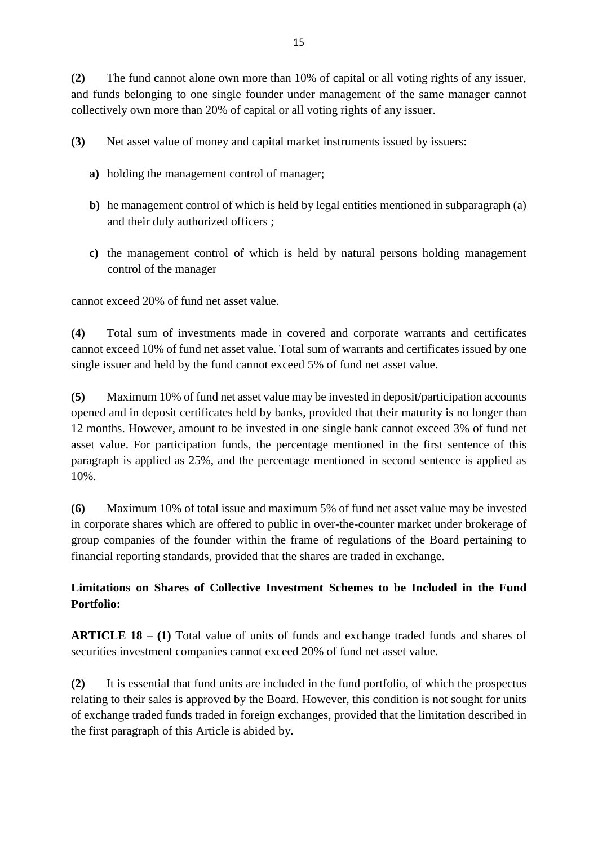**(2)** The fund cannot alone own more than 10% of capital or all voting rights of any issuer, and funds belonging to one single founder under management of the same manager cannot collectively own more than 20% of capital or all voting rights of any issuer.

**(3)** Net asset value of money and capital market instruments issued by issuers:

- **a)** holding the management control of manager;
- **b)** he management control of which is held by legal entities mentioned in subparagraph (a) and their duly authorized officers ;
- **c)** the management control of which is held by natural persons holding management control of the manager

cannot exceed 20% of fund net asset value.

**(4)** Total sum of investments made in covered and corporate warrants and certificates cannot exceed 10% of fund net asset value. Total sum of warrants and certificates issued by one single issuer and held by the fund cannot exceed 5% of fund net asset value.

**(5)** Maximum 10% of fund net asset value may be invested in deposit/participation accounts opened and in deposit certificates held by banks, provided that their maturity is no longer than 12 months. However, amount to be invested in one single bank cannot exceed 3% of fund net asset value. For participation funds, the percentage mentioned in the first sentence of this paragraph is applied as 25%, and the percentage mentioned in second sentence is applied as 10%.

**(6)** Maximum 10% of total issue and maximum 5% of fund net asset value may be invested in corporate shares which are offered to public in over-the-counter market under brokerage of group companies of the founder within the frame of regulations of the Board pertaining to financial reporting standards, provided that the shares are traded in exchange.

## **Limitations on Shares of Collective Investment Schemes to be Included in the Fund Portfolio:**

**ARTICLE 18 – (1)** Total value of units of funds and exchange traded funds and shares of securities investment companies cannot exceed 20% of fund net asset value.

**(2)** It is essential that fund units are included in the fund portfolio, of which the prospectus relating to their sales is approved by the Board. However, this condition is not sought for units of exchange traded funds traded in foreign exchanges, provided that the limitation described in the first paragraph of this Article is abided by.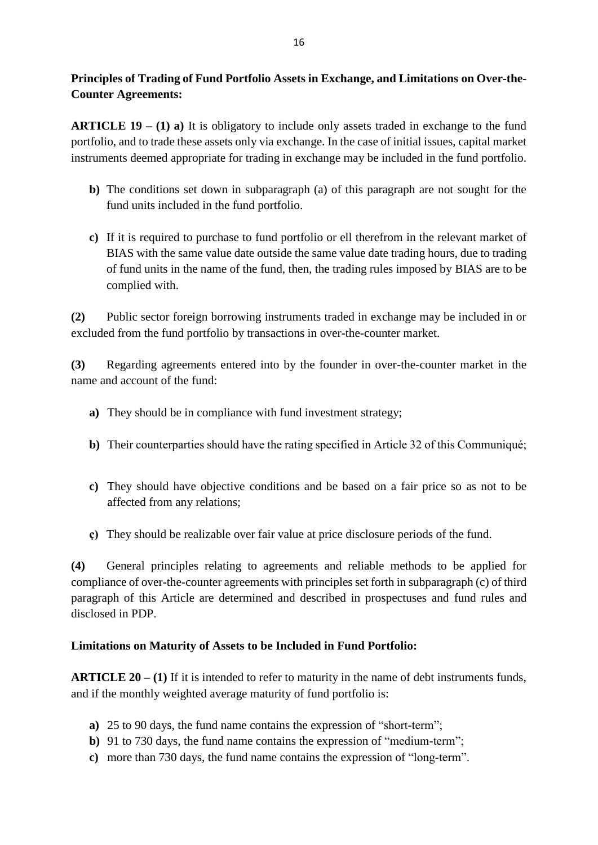## **Principles of Trading of Fund Portfolio Assets in Exchange, and Limitations on Over-the-Counter Agreements:**

**ARTICLE 19 – (1) a)** It is obligatory to include only assets traded in exchange to the fund portfolio, and to trade these assets only via exchange. In the case of initial issues, capital market instruments deemed appropriate for trading in exchange may be included in the fund portfolio.

- **b)** The conditions set down in subparagraph (a) of this paragraph are not sought for the fund units included in the fund portfolio.
- **c)** If it is required to purchase to fund portfolio or ell therefrom in the relevant market of BIAS with the same value date outside the same value date trading hours, due to trading of fund units in the name of the fund, then, the trading rules imposed by BIAS are to be complied with.

**(2)** Public sector foreign borrowing instruments traded in exchange may be included in or excluded from the fund portfolio by transactions in over-the-counter market.

**(3)** Regarding agreements entered into by the founder in over-the-counter market in the name and account of the fund:

- **a)** They should be in compliance with fund investment strategy;
- **b)** Their counterparties should have the rating specified in Article 32 of this Communiqué;
- **c)** They should have objective conditions and be based on a fair price so as not to be affected from any relations;
- **ç)** They should be realizable over fair value at price disclosure periods of the fund.

**(4)** General principles relating to agreements and reliable methods to be applied for compliance of over-the-counter agreements with principles set forth in subparagraph (c) of third paragraph of this Article are determined and described in prospectuses and fund rules and disclosed in PDP.

## **Limitations on Maturity of Assets to be Included in Fund Portfolio:**

**ARTICLE 20 – (1)** If it is intended to refer to maturity in the name of debt instruments funds, and if the monthly weighted average maturity of fund portfolio is:

- **a)** 25 to 90 days, the fund name contains the expression of "short-term";
- **b**) 91 to 730 days, the fund name contains the expression of "medium-term";
- **c)** more than 730 days, the fund name contains the expression of "long-term".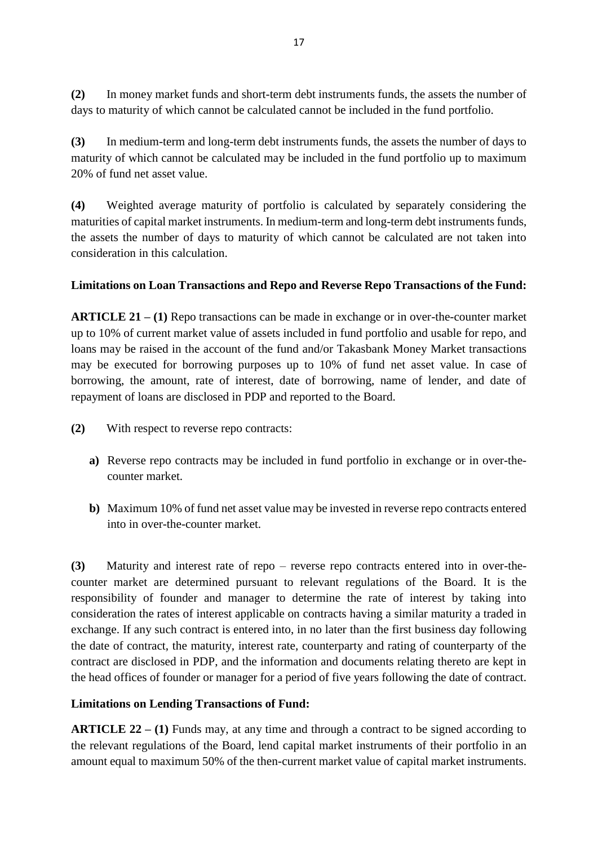**(2)** In money market funds and short-term debt instruments funds, the assets the number of days to maturity of which cannot be calculated cannot be included in the fund portfolio.

**(3)** In medium-term and long-term debt instruments funds, the assets the number of days to maturity of which cannot be calculated may be included in the fund portfolio up to maximum 20% of fund net asset value.

**(4)** Weighted average maturity of portfolio is calculated by separately considering the maturities of capital market instruments. In medium-term and long-term debt instruments funds, the assets the number of days to maturity of which cannot be calculated are not taken into consideration in this calculation.

### **Limitations on Loan Transactions and Repo and Reverse Repo Transactions of the Fund:**

**ARTICLE 21 – (1)** Repo transactions can be made in exchange or in over-the-counter market up to 10% of current market value of assets included in fund portfolio and usable for repo, and loans may be raised in the account of the fund and/or Takasbank Money Market transactions may be executed for borrowing purposes up to 10% of fund net asset value. In case of borrowing, the amount, rate of interest, date of borrowing, name of lender, and date of repayment of loans are disclosed in PDP and reported to the Board.

- **(2)** With respect to reverse repo contracts:
	- **a)** Reverse repo contracts may be included in fund portfolio in exchange or in over-thecounter market.
	- **b)** Maximum 10% of fund net asset value may be invested in reverse repo contracts entered into in over-the-counter market.

**(3)** Maturity and interest rate of repo – reverse repo contracts entered into in over-thecounter market are determined pursuant to relevant regulations of the Board. It is the responsibility of founder and manager to determine the rate of interest by taking into consideration the rates of interest applicable on contracts having a similar maturity a traded in exchange. If any such contract is entered into, in no later than the first business day following the date of contract, the maturity, interest rate, counterparty and rating of counterparty of the contract are disclosed in PDP, and the information and documents relating thereto are kept in the head offices of founder or manager for a period of five years following the date of contract.

### **Limitations on Lending Transactions of Fund:**

**ARTICLE 22** – **(1)** Funds may, at any time and through a contract to be signed according to the relevant regulations of the Board, lend capital market instruments of their portfolio in an amount equal to maximum 50% of the then-current market value of capital market instruments.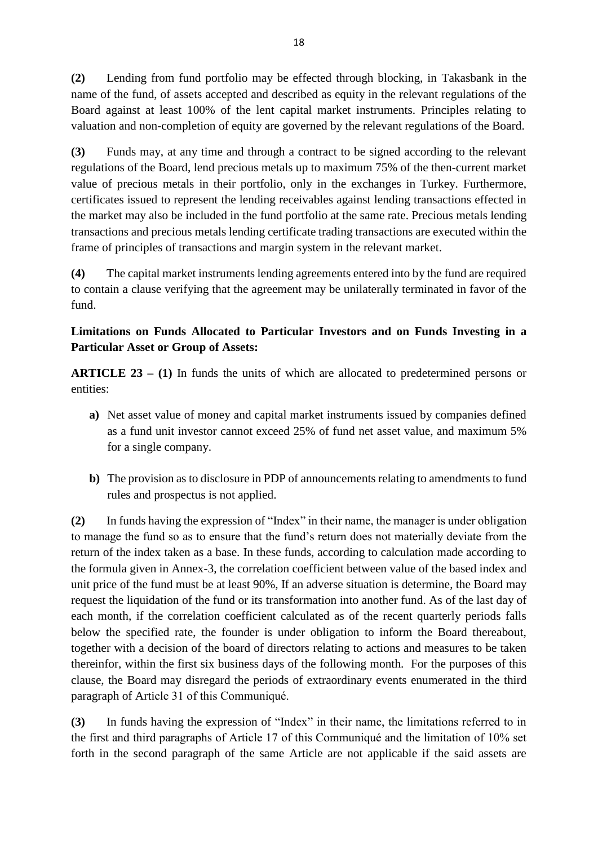**(2)** Lending from fund portfolio may be effected through blocking, in Takasbank in the name of the fund, of assets accepted and described as equity in the relevant regulations of the Board against at least 100% of the lent capital market instruments. Principles relating to valuation and non-completion of equity are governed by the relevant regulations of the Board.

**(3)** Funds may, at any time and through a contract to be signed according to the relevant regulations of the Board, lend precious metals up to maximum 75% of the then-current market value of precious metals in their portfolio, only in the exchanges in Turkey. Furthermore, certificates issued to represent the lending receivables against lending transactions effected in the market may also be included in the fund portfolio at the same rate. Precious metals lending transactions and precious metals lending certificate trading transactions are executed within the frame of principles of transactions and margin system in the relevant market.

**(4)** The capital market instruments lending agreements entered into by the fund are required to contain a clause verifying that the agreement may be unilaterally terminated in favor of the fund.

## **Limitations on Funds Allocated to Particular Investors and on Funds Investing in a Particular Asset or Group of Assets:**

**ARTICLE 23 – (1)** In funds the units of which are allocated to predetermined persons or entities:

- **a)** Net asset value of money and capital market instruments issued by companies defined as a fund unit investor cannot exceed 25% of fund net asset value, and maximum 5% for a single company.
- **b)** The provision as to disclosure in PDP of announcements relating to amendments to fund rules and prospectus is not applied.

**(2)** In funds having the expression of "Index" in their name, the manager is under obligation to manage the fund so as to ensure that the fund's return does not materially deviate from the return of the index taken as a base. In these funds, according to calculation made according to the formula given in Annex-3, the correlation coefficient between value of the based index and unit price of the fund must be at least 90%, If an adverse situation is determine, the Board may request the liquidation of the fund or its transformation into another fund. As of the last day of each month, if the correlation coefficient calculated as of the recent quarterly periods falls below the specified rate, the founder is under obligation to inform the Board thereabout, together with a decision of the board of directors relating to actions and measures to be taken thereinfor, within the first six business days of the following month. For the purposes of this clause, the Board may disregard the periods of extraordinary events enumerated in the third paragraph of Article 31 of this Communiqué.

**(3)** In funds having the expression of "Index" in their name, the limitations referred to in the first and third paragraphs of Article 17 of this Communiqué and the limitation of 10% set forth in the second paragraph of the same Article are not applicable if the said assets are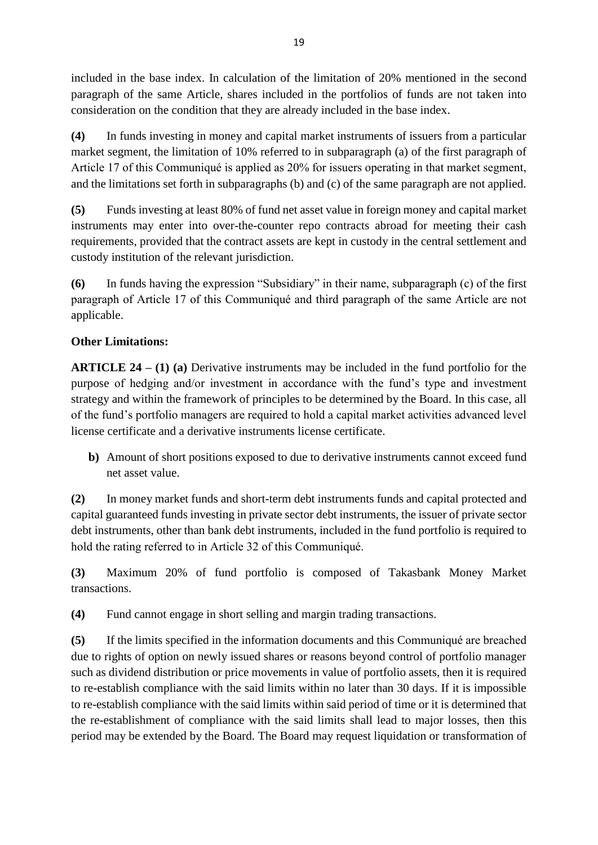included in the base index. In calculation of the limitation of 20% mentioned in the second paragraph of the same Article, shares included in the portfolios of funds are not taken into consideration on the condition that they are already included in the base index.

**(4)** In funds investing in money and capital market instruments of issuers from a particular market segment, the limitation of 10% referred to in subparagraph (a) of the first paragraph of Article 17 of this Communiqué is applied as 20% for issuers operating in that market segment, and the limitations set forth in subparagraphs (b) and (c) of the same paragraph are not applied.

**(5)** Funds investing at least 80% of fund net asset value in foreign money and capital market instruments may enter into over-the-counter repo contracts abroad for meeting their cash requirements, provided that the contract assets are kept in custody in the central settlement and custody institution of the relevant jurisdiction.

**(6)** In funds having the expression "Subsidiary" in their name, subparagraph (c) of the first paragraph of Article 17 of this Communiqué and third paragraph of the same Article are not applicable.

## **Other Limitations:**

**ARTICLE 24 – (1) (a)** Derivative instruments may be included in the fund portfolio for the purpose of hedging and/or investment in accordance with the fund's type and investment strategy and within the framework of principles to be determined by the Board. In this case, all of the fund's portfolio managers are required to hold a capital market activities advanced level license certificate and a derivative instruments license certificate.

**b)** Amount of short positions exposed to due to derivative instruments cannot exceed fund net asset value.

**(2)** In money market funds and short-term debt instruments funds and capital protected and capital guaranteed funds investing in private sector debt instruments, the issuer of private sector debt instruments, other than bank debt instruments, included in the fund portfolio is required to hold the rating referred to in Article 32 of this Communiqué.

**(3)** Maximum 20% of fund portfolio is composed of Takasbank Money Market transactions.

**(4)** Fund cannot engage in short selling and margin trading transactions.

**(5)** If the limits specified in the information documents and this Communiqué are breached due to rights of option on newly issued shares or reasons beyond control of portfolio manager such as dividend distribution or price movements in value of portfolio assets, then it is required to re-establish compliance with the said limits within no later than 30 days. If it is impossible to re-establish compliance with the said limits within said period of time or it is determined that the re-establishment of compliance with the said limits shall lead to major losses, then this period may be extended by the Board. The Board may request liquidation or transformation of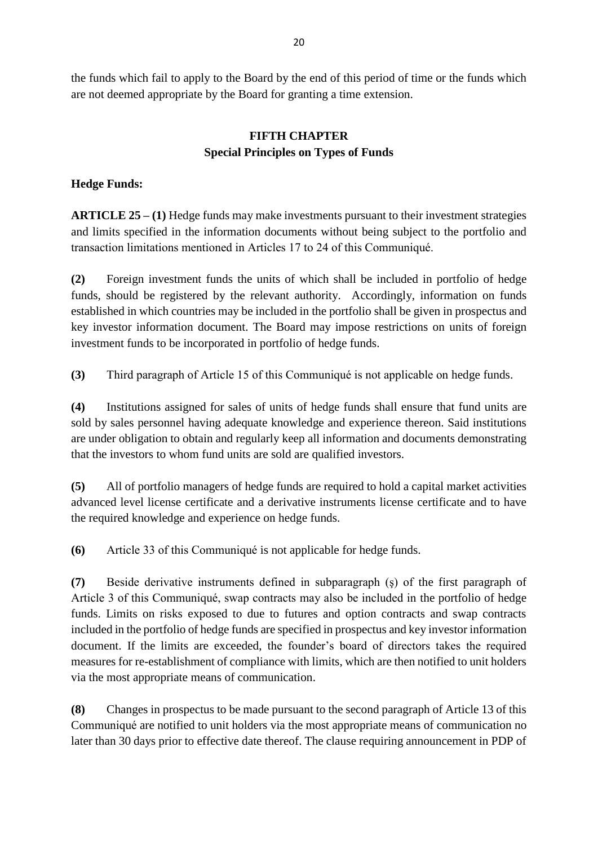the funds which fail to apply to the Board by the end of this period of time or the funds which are not deemed appropriate by the Board for granting a time extension.

## **FIFTH CHAPTER Special Principles on Types of Funds**

## **Hedge Funds:**

**ARTICLE 25 – (1)** Hedge funds may make investments pursuant to their investment strategies and limits specified in the information documents without being subject to the portfolio and transaction limitations mentioned in Articles 17 to 24 of this Communiqué.

**(2)** Foreign investment funds the units of which shall be included in portfolio of hedge funds, should be registered by the relevant authority. Accordingly, information on funds established in which countries may be included in the portfolio shall be given in prospectus and key investor information document. The Board may impose restrictions on units of foreign investment funds to be incorporated in portfolio of hedge funds.

**(3)** Third paragraph of Article 15 of this Communiqué is not applicable on hedge funds.

**(4)** Institutions assigned for sales of units of hedge funds shall ensure that fund units are sold by sales personnel having adequate knowledge and experience thereon. Said institutions are under obligation to obtain and regularly keep all information and documents demonstrating that the investors to whom fund units are sold are qualified investors.

**(5)** All of portfolio managers of hedge funds are required to hold a capital market activities advanced level license certificate and a derivative instruments license certificate and to have the required knowledge and experience on hedge funds.

**(6)** Article 33 of this Communiqué is not applicable for hedge funds.

**(7)** Beside derivative instruments defined in subparagraph (ş) of the first paragraph of Article 3 of this Communiqué, swap contracts may also be included in the portfolio of hedge funds. Limits on risks exposed to due to futures and option contracts and swap contracts included in the portfolio of hedge funds are specified in prospectus and key investor information document. If the limits are exceeded, the founder's board of directors takes the required measures for re-establishment of compliance with limits, which are then notified to unit holders via the most appropriate means of communication.

**(8)** Changes in prospectus to be made pursuant to the second paragraph of Article 13 of this Communiqué are notified to unit holders via the most appropriate means of communication no later than 30 days prior to effective date thereof. The clause requiring announcement in PDP of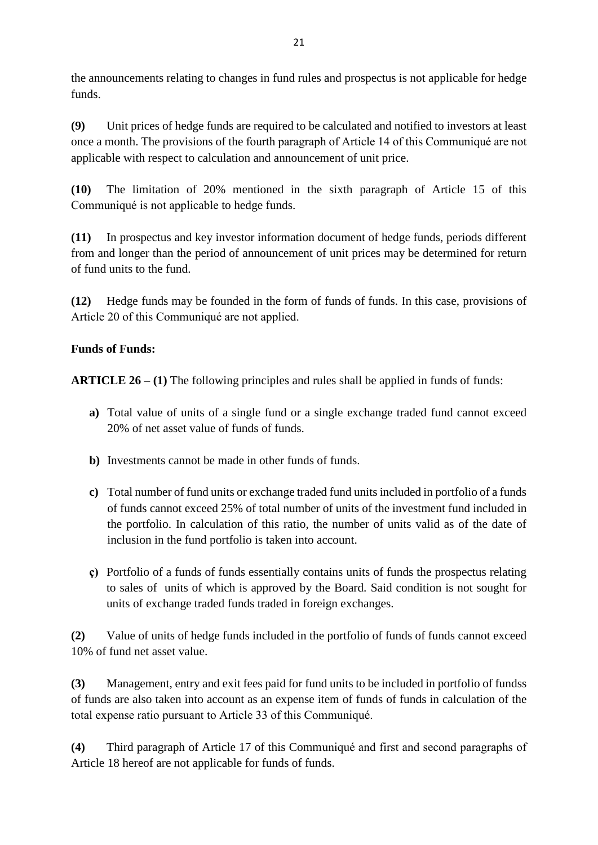the announcements relating to changes in fund rules and prospectus is not applicable for hedge funds.

**(9)** Unit prices of hedge funds are required to be calculated and notified to investors at least once a month. The provisions of the fourth paragraph of Article 14 of this Communiqué are not applicable with respect to calculation and announcement of unit price.

**(10)** The limitation of 20% mentioned in the sixth paragraph of Article 15 of this Communiqué is not applicable to hedge funds.

**(11)** In prospectus and key investor information document of hedge funds, periods different from and longer than the period of announcement of unit prices may be determined for return of fund units to the fund.

**(12)** Hedge funds may be founded in the form of funds of funds. In this case, provisions of Article 20 of this Communiqué are not applied.

## **Funds of Funds:**

**ARTICLE 26 – (1)** The following principles and rules shall be applied in funds of funds:

- **a)** Total value of units of a single fund or a single exchange traded fund cannot exceed 20% of net asset value of funds of funds.
- **b)** Investments cannot be made in other funds of funds.
- **c)** Total number of fund units or exchange traded fund units included in portfolio of a funds of funds cannot exceed 25% of total number of units of the investment fund included in the portfolio. In calculation of this ratio, the number of units valid as of the date of inclusion in the fund portfolio is taken into account.
- **ç)** Portfolio of a funds of funds essentially contains units of funds the prospectus relating to sales of units of which is approved by the Board. Said condition is not sought for units of exchange traded funds traded in foreign exchanges.

**(2)** Value of units of hedge funds included in the portfolio of funds of funds cannot exceed 10% of fund net asset value.

**(3)** Management, entry and exit fees paid for fund units to be included in portfolio of fundss of funds are also taken into account as an expense item of funds of funds in calculation of the total expense ratio pursuant to Article 33 of this Communiqué.

**(4)** Third paragraph of Article 17 of this Communiqué and first and second paragraphs of Article 18 hereof are not applicable for funds of funds.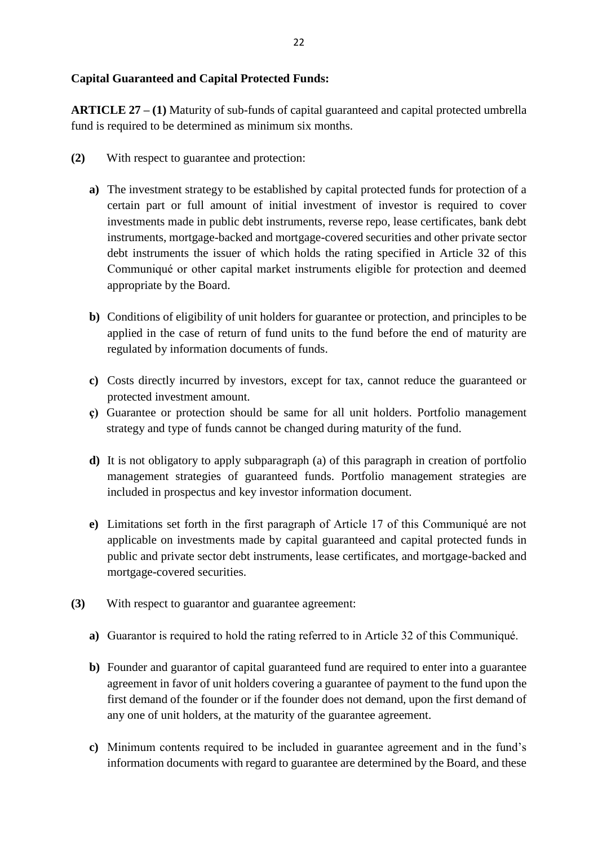### **Capital Guaranteed and Capital Protected Funds:**

**ARTICLE 27 – (1)** Maturity of sub-funds of capital guaranteed and capital protected umbrella fund is required to be determined as minimum six months.

- **(2)** With respect to guarantee and protection:
	- **a)** The investment strategy to be established by capital protected funds for protection of a certain part or full amount of initial investment of investor is required to cover investments made in public debt instruments, reverse repo, lease certificates, bank debt instruments, mortgage-backed and mortgage-covered securities and other private sector debt instruments the issuer of which holds the rating specified in Article 32 of this Communiqué or other capital market instruments eligible for protection and deemed appropriate by the Board.
	- **b)** Conditions of eligibility of unit holders for guarantee or protection, and principles to be applied in the case of return of fund units to the fund before the end of maturity are regulated by information documents of funds.
	- **c)** Costs directly incurred by investors, except for tax, cannot reduce the guaranteed or protected investment amount.
	- **ç)** Guarantee or protection should be same for all unit holders. Portfolio management strategy and type of funds cannot be changed during maturity of the fund.
	- **d)** It is not obligatory to apply subparagraph (a) of this paragraph in creation of portfolio management strategies of guaranteed funds. Portfolio management strategies are included in prospectus and key investor information document.
	- **e)** Limitations set forth in the first paragraph of Article 17 of this Communiqué are not applicable on investments made by capital guaranteed and capital protected funds in public and private sector debt instruments, lease certificates, and mortgage-backed and mortgage-covered securities.
- **(3)** With respect to guarantor and guarantee agreement:
	- **a)** Guarantor is required to hold the rating referred to in Article 32 of this Communiqué.
	- **b)** Founder and guarantor of capital guaranteed fund are required to enter into a guarantee agreement in favor of unit holders covering a guarantee of payment to the fund upon the first demand of the founder or if the founder does not demand, upon the first demand of any one of unit holders, at the maturity of the guarantee agreement.
	- **c)** Minimum contents required to be included in guarantee agreement and in the fund's information documents with regard to guarantee are determined by the Board, and these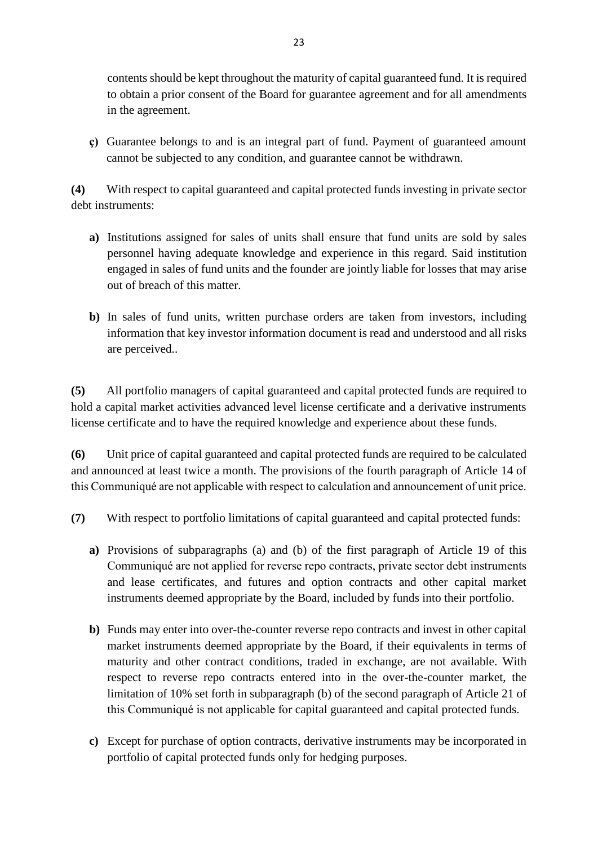contents should be kept throughout the maturity of capital guaranteed fund. It is required to obtain a prior consent of the Board for guarantee agreement and for all amendments in the agreement.

**ç)** Guarantee belongs to and is an integral part of fund. Payment of guaranteed amount cannot be subjected to any condition, and guarantee cannot be withdrawn.

**(4)** With respect to capital guaranteed and capital protected funds investing in private sector debt instruments:

- **a)** Institutions assigned for sales of units shall ensure that fund units are sold by sales personnel having adequate knowledge and experience in this regard. Said institution engaged in sales of fund units and the founder are jointly liable for losses that may arise out of breach of this matter.
- **b)** In sales of fund units, written purchase orders are taken from investors, including information that key investor information document is read and understood and all risks are perceived..

**(5)** All portfolio managers of capital guaranteed and capital protected funds are required to hold a capital market activities advanced level license certificate and a derivative instruments license certificate and to have the required knowledge and experience about these funds.

**(6)** Unit price of capital guaranteed and capital protected funds are required to be calculated and announced at least twice a month. The provisions of the fourth paragraph of Article 14 of this Communiqué are not applicable with respect to calculation and announcement of unit price.

- **(7)** With respect to portfolio limitations of capital guaranteed and capital protected funds:
	- **a)** Provisions of subparagraphs (a) and (b) of the first paragraph of Article 19 of this Communiqué are not applied for reverse repo contracts, private sector debt instruments and lease certificates, and futures and option contracts and other capital market instruments deemed appropriate by the Board, included by funds into their portfolio.
	- **b)** Funds may enter into over-the-counter reverse repo contracts and invest in other capital market instruments deemed appropriate by the Board, if their equivalents in terms of maturity and other contract conditions, traded in exchange, are not available. With respect to reverse repo contracts entered into in the over-the-counter market, the limitation of 10% set forth in subparagraph (b) of the second paragraph of Article 21 of this Communiqué is not applicable for capital guaranteed and capital protected funds.
	- **c)** Except for purchase of option contracts, derivative instruments may be incorporated in portfolio of capital protected funds only for hedging purposes.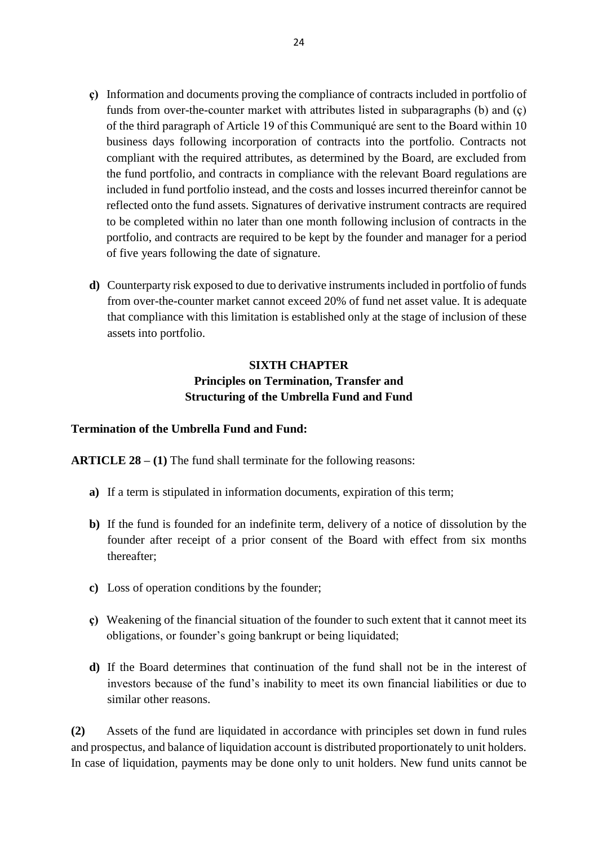- **ç)** Information and documents proving the compliance of contracts included in portfolio of funds from over-the-counter market with attributes listed in subparagraphs (b) and (ç) of the third paragraph of Article 19 of this Communiqué are sent to the Board within 10 business days following incorporation of contracts into the portfolio. Contracts not compliant with the required attributes, as determined by the Board, are excluded from the fund portfolio, and contracts in compliance with the relevant Board regulations are included in fund portfolio instead, and the costs and losses incurred thereinfor cannot be reflected onto the fund assets. Signatures of derivative instrument contracts are required to be completed within no later than one month following inclusion of contracts in the portfolio, and contracts are required to be kept by the founder and manager for a period of five years following the date of signature.
- **d)** Counterparty risk exposed to due to derivative instruments included in portfolio of funds from over-the-counter market cannot exceed 20% of fund net asset value. It is adequate that compliance with this limitation is established only at the stage of inclusion of these assets into portfolio.

## **SIXTH CHAPTER Principles on Termination, Transfer and Structuring of the Umbrella Fund and Fund**

#### **Termination of the Umbrella Fund and Fund:**

**ARTICLE 28 – (1)** The fund shall terminate for the following reasons:

- **a)** If a term is stipulated in information documents, expiration of this term;
- **b)** If the fund is founded for an indefinite term, delivery of a notice of dissolution by the founder after receipt of a prior consent of the Board with effect from six months thereafter;
- **c)** Loss of operation conditions by the founder;
- **ç)** Weakening of the financial situation of the founder to such extent that it cannot meet its obligations, or founder's going bankrupt or being liquidated;
- **d)** If the Board determines that continuation of the fund shall not be in the interest of investors because of the fund's inability to meet its own financial liabilities or due to similar other reasons.

**(2)** Assets of the fund are liquidated in accordance with principles set down in fund rules and prospectus, and balance of liquidation account is distributed proportionately to unit holders. In case of liquidation, payments may be done only to unit holders. New fund units cannot be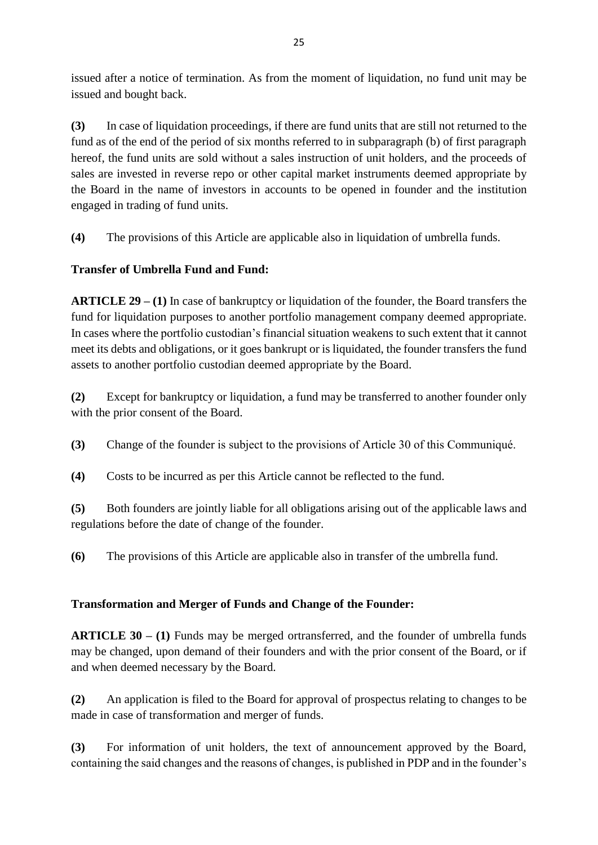issued after a notice of termination. As from the moment of liquidation, no fund unit may be issued and bought back.

**(3)** In case of liquidation proceedings, if there are fund units that are still not returned to the fund as of the end of the period of six months referred to in subparagraph (b) of first paragraph hereof, the fund units are sold without a sales instruction of unit holders, and the proceeds of sales are invested in reverse repo or other capital market instruments deemed appropriate by the Board in the name of investors in accounts to be opened in founder and the institution engaged in trading of fund units.

**(4)** The provisions of this Article are applicable also in liquidation of umbrella funds.

## **Transfer of Umbrella Fund and Fund:**

**ARTICLE 29 – (1)** In case of bankruptcy or liquidation of the founder, the Board transfers the fund for liquidation purposes to another portfolio management company deemed appropriate. In cases where the portfolio custodian's financial situation weakens to such extent that it cannot meet its debts and obligations, or it goes bankrupt or is liquidated, the founder transfers the fund assets to another portfolio custodian deemed appropriate by the Board.

**(2)** Except for bankruptcy or liquidation, a fund may be transferred to another founder only with the prior consent of the Board.

**(3)** Change of the founder is subject to the provisions of Article 30 of this Communiqué.

**(4)** Costs to be incurred as per this Article cannot be reflected to the fund.

**(5)** Both founders are jointly liable for all obligations arising out of the applicable laws and regulations before the date of change of the founder.

**(6)** The provisions of this Article are applicable also in transfer of the umbrella fund.

## **Transformation and Merger of Funds and Change of the Founder:**

**ARTICLE 30 – (1)** Funds may be merged ortransferred, and the founder of umbrella funds may be changed, upon demand of their founders and with the prior consent of the Board, or if and when deemed necessary by the Board.

**(2)** An application is filed to the Board for approval of prospectus relating to changes to be made in case of transformation and merger of funds.

**(3)** For information of unit holders, the text of announcement approved by the Board, containing the said changes and the reasons of changes, is published in PDP and in the founder's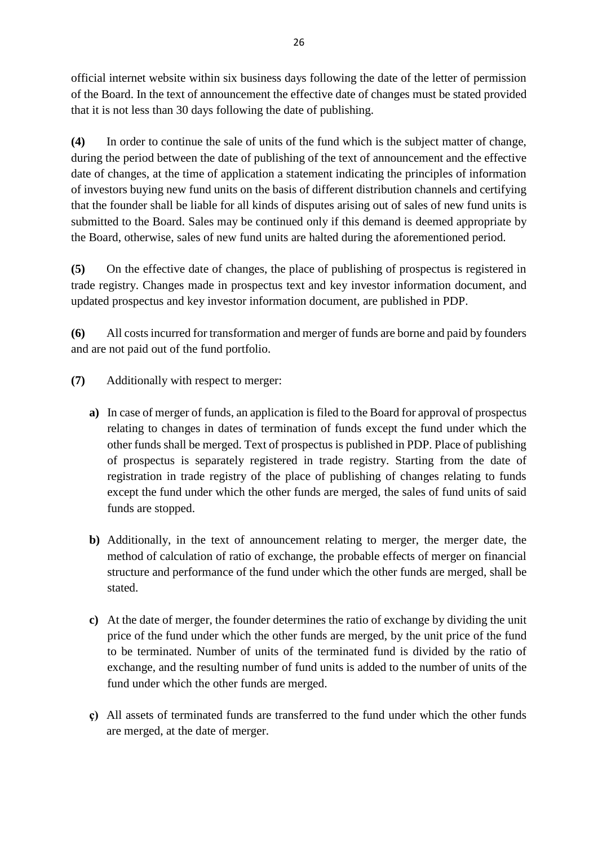official internet website within six business days following the date of the letter of permission of the Board. In the text of announcement the effective date of changes must be stated provided that it is not less than 30 days following the date of publishing.

**(4)** In order to continue the sale of units of the fund which is the subject matter of change, during the period between the date of publishing of the text of announcement and the effective date of changes, at the time of application a statement indicating the principles of information of investors buying new fund units on the basis of different distribution channels and certifying that the founder shall be liable for all kinds of disputes arising out of sales of new fund units is submitted to the Board. Sales may be continued only if this demand is deemed appropriate by the Board, otherwise, sales of new fund units are halted during the aforementioned period.

**(5)** On the effective date of changes, the place of publishing of prospectus is registered in trade registry. Changes made in prospectus text and key investor information document, and updated prospectus and key investor information document, are published in PDP.

**(6)** All costs incurred for transformation and merger of funds are borne and paid by founders and are not paid out of the fund portfolio.

- **(7)** Additionally with respect to merger:
	- **a)** In case of merger of funds, an application is filed to the Board for approval of prospectus relating to changes in dates of termination of funds except the fund under which the other funds shall be merged. Text of prospectus is published in PDP. Place of publishing of prospectus is separately registered in trade registry. Starting from the date of registration in trade registry of the place of publishing of changes relating to funds except the fund under which the other funds are merged, the sales of fund units of said funds are stopped.
	- **b)** Additionally, in the text of announcement relating to merger, the merger date, the method of calculation of ratio of exchange, the probable effects of merger on financial structure and performance of the fund under which the other funds are merged, shall be stated.
	- **c)** At the date of merger, the founder determines the ratio of exchange by dividing the unit price of the fund under which the other funds are merged, by the unit price of the fund to be terminated. Number of units of the terminated fund is divided by the ratio of exchange, and the resulting number of fund units is added to the number of units of the fund under which the other funds are merged.
	- **ç)** All assets of terminated funds are transferred to the fund under which the other funds are merged, at the date of merger.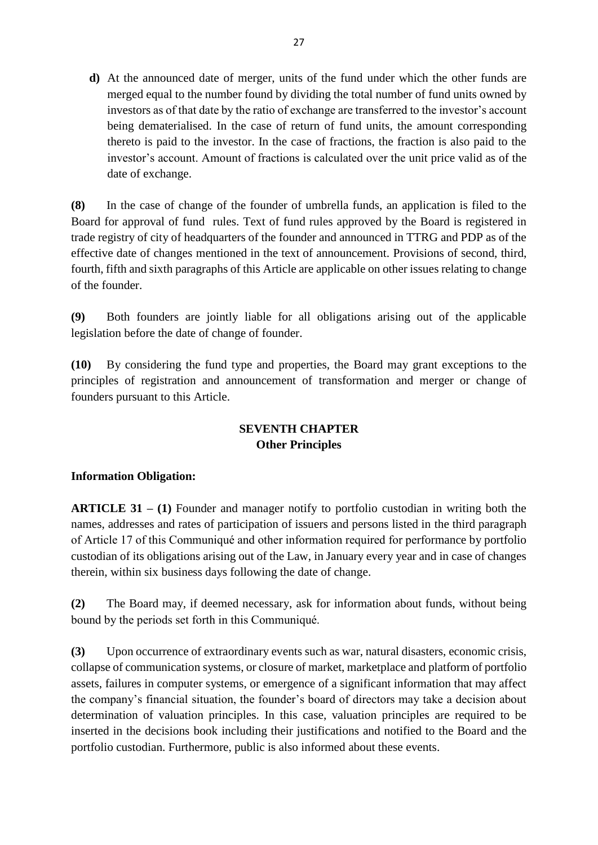**d)** At the announced date of merger, units of the fund under which the other funds are merged equal to the number found by dividing the total number of fund units owned by investors as of that date by the ratio of exchange are transferred to the investor's account being dematerialised. In the case of return of fund units, the amount corresponding thereto is paid to the investor. In the case of fractions, the fraction is also paid to the investor's account. Amount of fractions is calculated over the unit price valid as of the date of exchange.

**(8)** In the case of change of the founder of umbrella funds, an application is filed to the Board for approval of fund rules. Text of fund rules approved by the Board is registered in trade registry of city of headquarters of the founder and announced in TTRG and PDP as of the effective date of changes mentioned in the text of announcement. Provisions of second, third, fourth, fifth and sixth paragraphs of this Article are applicable on other issues relating to change of the founder.

**(9)** Both founders are jointly liable for all obligations arising out of the applicable legislation before the date of change of founder.

**(10)** By considering the fund type and properties, the Board may grant exceptions to the principles of registration and announcement of transformation and merger or change of founders pursuant to this Article.

## **SEVENTH CHAPTER Other Principles**

## **Information Obligation:**

**ARTICLE 31 – (1)** Founder and manager notify to portfolio custodian in writing both the names, addresses and rates of participation of issuers and persons listed in the third paragraph of Article 17 of this Communiqué and other information required for performance by portfolio custodian of its obligations arising out of the Law, in January every year and in case of changes therein, within six business days following the date of change.

**(2)** The Board may, if deemed necessary, ask for information about funds, without being bound by the periods set forth in this Communiqué.

**(3)** Upon occurrence of extraordinary events such as war, natural disasters, economic crisis, collapse of communication systems, or closure of market, marketplace and platform of portfolio assets, failures in computer systems, or emergence of a significant information that may affect the company's financial situation, the founder's board of directors may take a decision about determination of valuation principles. In this case, valuation principles are required to be inserted in the decisions book including their justifications and notified to the Board and the portfolio custodian. Furthermore, public is also informed about these events.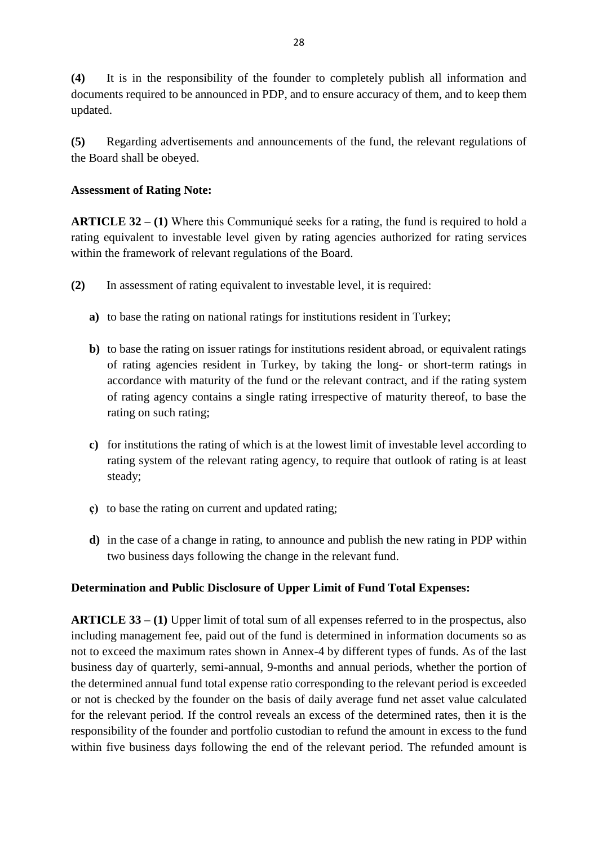**(4)** It is in the responsibility of the founder to completely publish all information and documents required to be announced in PDP, and to ensure accuracy of them, and to keep them updated.

**(5)** Regarding advertisements and announcements of the fund, the relevant regulations of the Board shall be obeyed.

### **Assessment of Rating Note:**

**ARTICLE 32 – (1)** Where this Communiqué seeks for a rating, the fund is required to hold a rating equivalent to investable level given by rating agencies authorized for rating services within the framework of relevant regulations of the Board.

- **(2)** In assessment of rating equivalent to investable level, it is required:
	- **a)** to base the rating on national ratings for institutions resident in Turkey;
	- **b)** to base the rating on issuer ratings for institutions resident abroad, or equivalent ratings of rating agencies resident in Turkey, by taking the long- or short-term ratings in accordance with maturity of the fund or the relevant contract, and if the rating system of rating agency contains a single rating irrespective of maturity thereof, to base the rating on such rating;
	- **c)** for institutions the rating of which is at the lowest limit of investable level according to rating system of the relevant rating agency, to require that outlook of rating is at least steady;
	- **ç)** to base the rating on current and updated rating;
	- **d)** in the case of a change in rating, to announce and publish the new rating in PDP within two business days following the change in the relevant fund.

### **Determination and Public Disclosure of Upper Limit of Fund Total Expenses:**

**ARTICLE 33 – (1)** Upper limit of total sum of all expenses referred to in the prospectus, also including management fee, paid out of the fund is determined in information documents so as not to exceed the maximum rates shown in Annex-4 by different types of funds. As of the last business day of quarterly, semi-annual, 9-months and annual periods, whether the portion of the determined annual fund total expense ratio corresponding to the relevant period is exceeded or not is checked by the founder on the basis of daily average fund net asset value calculated for the relevant period. If the control reveals an excess of the determined rates, then it is the responsibility of the founder and portfolio custodian to refund the amount in excess to the fund within five business days following the end of the relevant period. The refunded amount is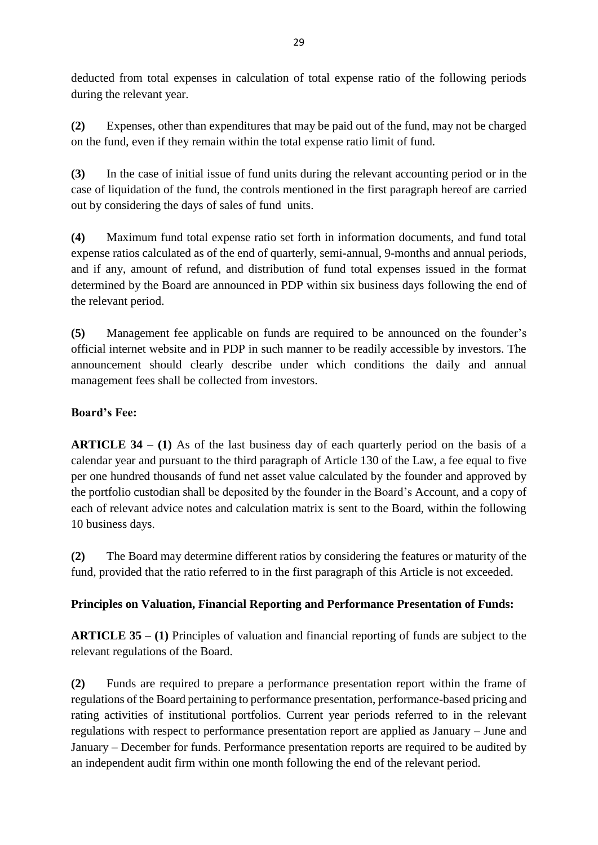deducted from total expenses in calculation of total expense ratio of the following periods during the relevant year.

**(2)** Expenses, other than expenditures that may be paid out of the fund, may not be charged on the fund, even if they remain within the total expense ratio limit of fund.

**(3)** In the case of initial issue of fund units during the relevant accounting period or in the case of liquidation of the fund, the controls mentioned in the first paragraph hereof are carried out by considering the days of sales of fund units.

**(4)** Maximum fund total expense ratio set forth in information documents, and fund total expense ratios calculated as of the end of quarterly, semi-annual, 9-months and annual periods, and if any, amount of refund, and distribution of fund total expenses issued in the format determined by the Board are announced in PDP within six business days following the end of the relevant period.

**(5)** Management fee applicable on funds are required to be announced on the founder's official internet website and in PDP in such manner to be readily accessible by investors. The announcement should clearly describe under which conditions the daily and annual management fees shall be collected from investors.

## **Board's Fee:**

**ARTICLE 34 – (1)** As of the last business day of each quarterly period on the basis of a calendar year and pursuant to the third paragraph of Article 130 of the Law, a fee equal to five per one hundred thousands of fund net asset value calculated by the founder and approved by the portfolio custodian shall be deposited by the founder in the Board's Account, and a copy of each of relevant advice notes and calculation matrix is sent to the Board, within the following 10 business days.

**(2)** The Board may determine different ratios by considering the features or maturity of the fund, provided that the ratio referred to in the first paragraph of this Article is not exceeded.

## **Principles on Valuation, Financial Reporting and Performance Presentation of Funds:**

**ARTICLE 35 – (1)** Principles of valuation and financial reporting of funds are subject to the relevant regulations of the Board.

**(2)** Funds are required to prepare a performance presentation report within the frame of regulations of the Board pertaining to performance presentation, performance-based pricing and rating activities of institutional portfolios. Current year periods referred to in the relevant regulations with respect to performance presentation report are applied as January – June and January – December for funds. Performance presentation reports are required to be audited by an independent audit firm within one month following the end of the relevant period.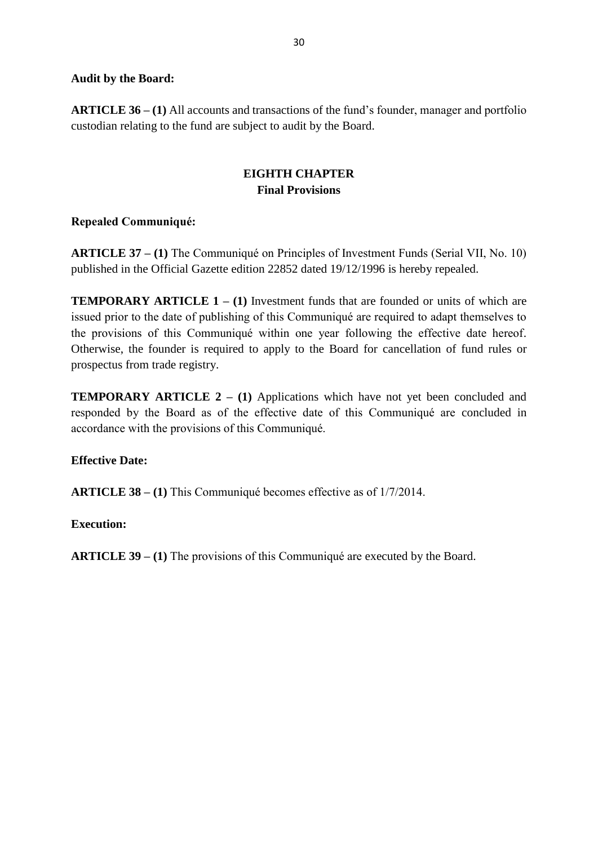### **Audit by the Board:**

**ARTICLE 36 – (1)** All accounts and transactions of the fund's founder, manager and portfolio custodian relating to the fund are subject to audit by the Board.

## **EIGHTH CHAPTER Final Provisions**

### **Repealed Communiqué:**

**ARTICLE 37 – (1)** The Communiqué on Principles of Investment Funds (Serial VII, No. 10) published in the Official Gazette edition 22852 dated 19/12/1996 is hereby repealed.

**TEMPORARY ARTICLE 1 – (1) Investment funds that are founded or units of which are** issued prior to the date of publishing of this Communiqué are required to adapt themselves to the provisions of this Communiqué within one year following the effective date hereof. Otherwise, the founder is required to apply to the Board for cancellation of fund rules or prospectus from trade registry.

**TEMPORARY ARTICLE 2 – (1) Applications which have not yet been concluded and** responded by the Board as of the effective date of this Communiqué are concluded in accordance with the provisions of this Communiqué.

### **Effective Date:**

**ARTICLE 38 – (1)** This Communiqué becomes effective as of 1/7/2014.

### **Execution:**

**ARTICLE 39 – (1)** The provisions of this Communiqué are executed by the Board.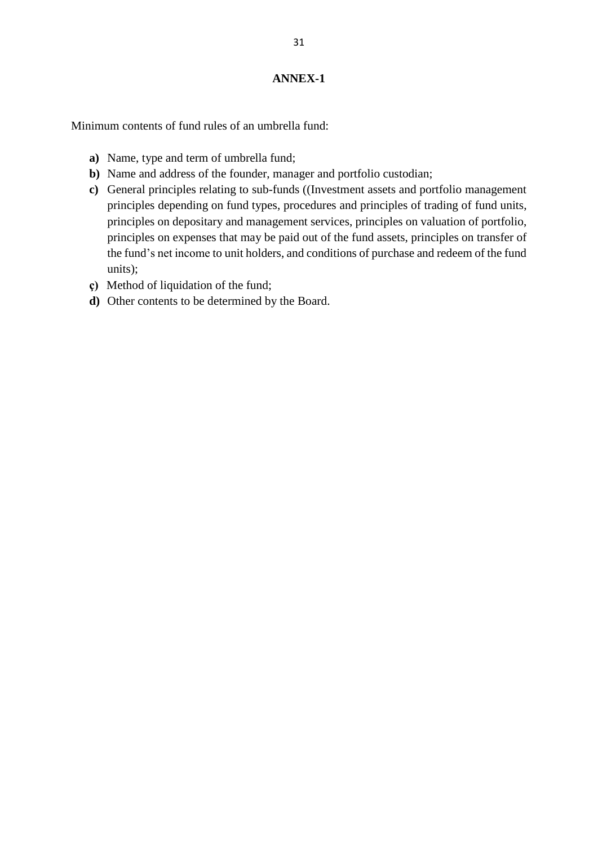Minimum contents of fund rules of an umbrella fund:

- **a)** Name, type and term of umbrella fund;
- **b)** Name and address of the founder, manager and portfolio custodian;
- **c)** General principles relating to sub-funds ((Investment assets and portfolio management principles depending on fund types, procedures and principles of trading of fund units, principles on depositary and management services, principles on valuation of portfolio, principles on expenses that may be paid out of the fund assets, principles on transfer of the fund's net income to unit holders, and conditions of purchase and redeem of the fund units);
- **ç)** Method of liquidation of the fund;
- **d)** Other contents to be determined by the Board.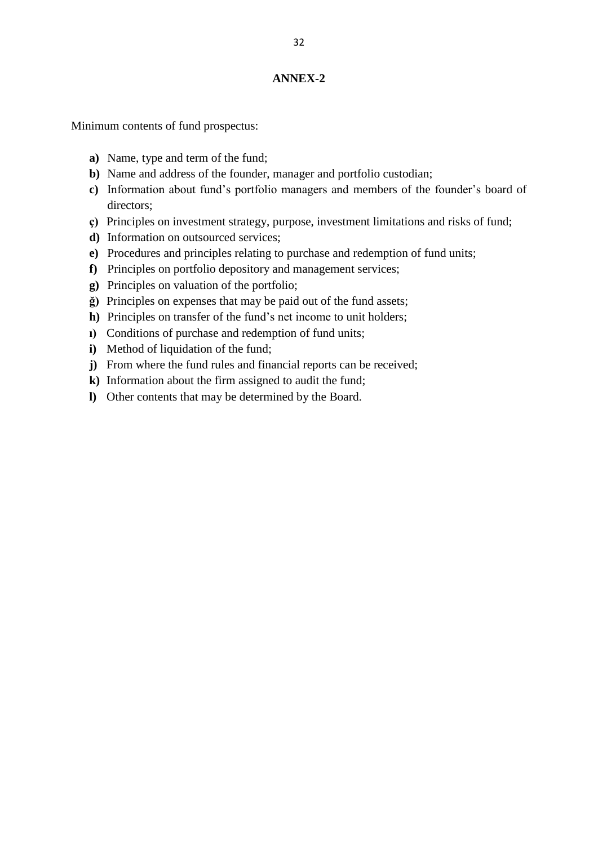Minimum contents of fund prospectus:

- **a)** Name, type and term of the fund;
- **b)** Name and address of the founder, manager and portfolio custodian;
- **c)** Information about fund's portfolio managers and members of the founder's board of directors;
- **ç)** Principles on investment strategy, purpose, investment limitations and risks of fund;
- **d)** Information on outsourced services;
- **e)** Procedures and principles relating to purchase and redemption of fund units;
- **f)** Principles on portfolio depository and management services;
- **g)** Principles on valuation of the portfolio;
- **ğ)** Principles on expenses that may be paid out of the fund assets;
- **h)** Principles on transfer of the fund's net income to unit holders;
- **ı)** Conditions of purchase and redemption of fund units;
- **i)** Method of liquidation of the fund;
- **j**) From where the fund rules and financial reports can be received;
- **k)** Information about the firm assigned to audit the fund;
- **l)** Other contents that may be determined by the Board.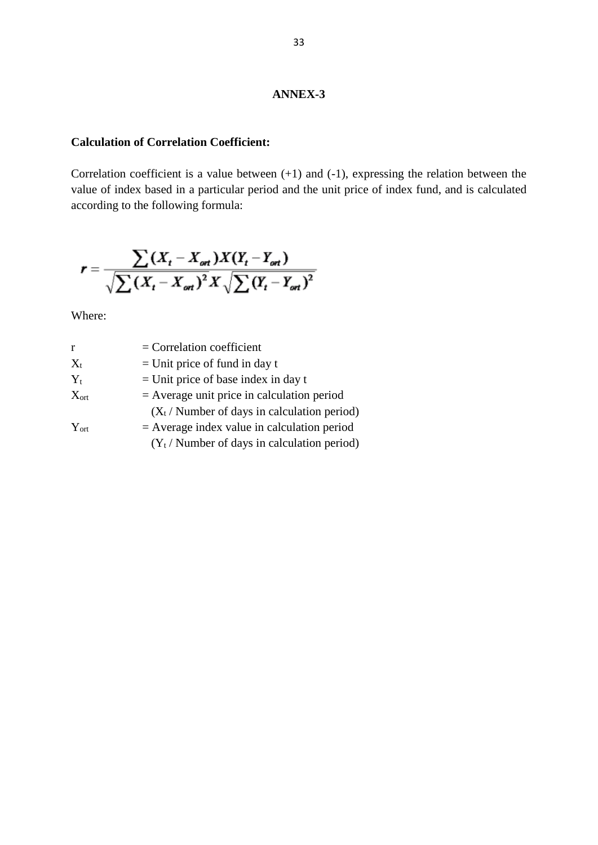#### **Calculation of Correlation Coefficient:**

Correlation coefficient is a value between  $(+1)$  and  $(-1)$ , expressing the relation between the value of index based in a particular period and the unit price of index fund, and is calculated according to the following formula:

$$
r = \frac{\sum (X_t - X_{\text{ort}}) X (Y_t - Y_{\text{ort}})}{\sqrt{\sum (X_t - X_{\text{ort}})^2} X \sqrt{\sum (Y_t - Y_{\text{ort}})^2}}
$$

Where:

| r                | $=$ Correlation coefficient                           |
|------------------|-------------------------------------------------------|
| $X_t$            | $=$ Unit price of fund in day t                       |
| $Y_t$            | $=$ Unit price of base index in day t                 |
| $X_{\text{ort}}$ | $=$ Average unit price in calculation period          |
|                  | $(X_t / \text{Number of days in calculation period})$ |
| $Y_{\text{ort}}$ | $=$ Average index value in calculation period         |
|                  | $(Y_t /$ Number of days in calculation period)        |
|                  |                                                       |